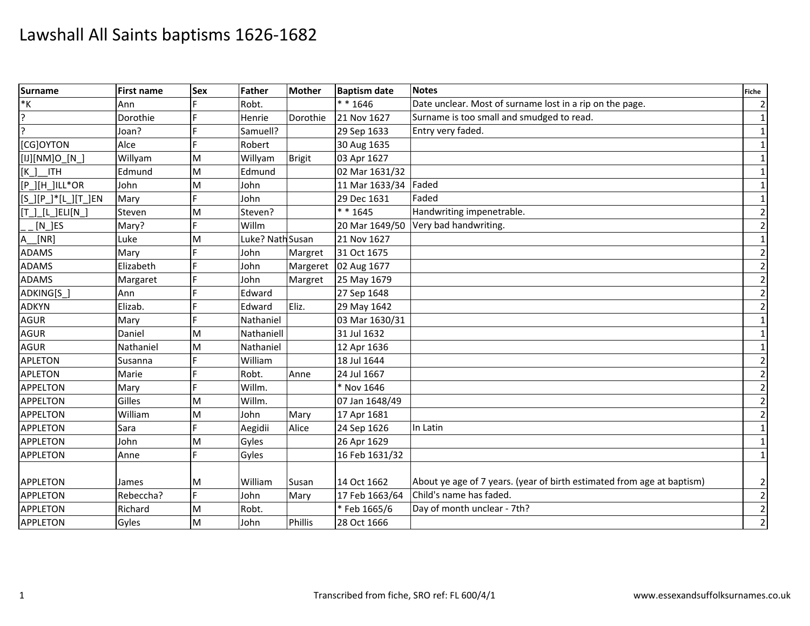| <b>Surname</b>      | <b>First name</b> | <b>Sex</b> | Father           | <b>Mother</b>  | <b>Baptism date</b>  | <b>Notes</b>                                                           | <b>Fiche</b>   |
|---------------------|-------------------|------------|------------------|----------------|----------------------|------------------------------------------------------------------------|----------------|
| $\ast \mathsf{K}$   | Ann               |            | Robt.            |                | $* * 1646$           | Date unclear. Most of surname lost in a rip on the page.               | $\mathbf{2}$   |
| $\overline{?}$      | Dorothie          |            | Henrie           | Dorothie       | 21 Nov 1627          | Surname is too small and smudged to read.                              | $1\vert$       |
| $\overline{?}$      | Joan?             |            | Samuell?         |                | 29 Sep 1633          | Entry very faded.                                                      | $1\vert$       |
| [CG]OYTON           | Alce              |            | Robert           |                | 30 Aug 1635          |                                                                        | $1\vert$       |
| [IJ][NM]O_[N_]      | Willyam           | M          | Willyam          | <b>Brigit</b>  | 03 Apr 1627          |                                                                        | $1\vert$       |
| $[K_$<br><b>ITH</b> | Edmund            | M          | Edmund           |                | 02 Mar 1631/32       |                                                                        | $1\vert$       |
| [P_][H_]ILL*OR      | John              | M          | John             |                | 11 Mar 1633/34 Faded |                                                                        | $\vert$ 1      |
| [S_][P_]*[L_][T_]EN | Mary              |            | John             |                | 29 Dec 1631          | Faded                                                                  | $1\vert$       |
| [T_]_[L_]ELI[N_]    | Steven            | M          | Steven?          |                | $* * 1645$           | Handwriting impenetrable.                                              | $\overline{2}$ |
| $[N_\_$ JES         | Mary?             |            | Willm            |                |                      | 20 Mar 1649/50 Very bad handwriting.                                   | $\overline{2}$ |
| $A_{\perp}$<br>[NR] | Luke              | M          | Luke? Nath Susan |                | 21 Nov 1627          |                                                                        | $1\vert$       |
| <b>ADAMS</b>        | Mary              |            | John             | Margret        | 31 Oct 1675          |                                                                        | $\mathbf{2}$   |
| <b>ADAMS</b>        | Elizabeth         |            | John             | Margeret       | 02 Aug 1677          |                                                                        | $\overline{2}$ |
| <b>ADAMS</b>        | Margaret          |            | John             | Margret        | 25 May 1679          |                                                                        | $\overline{2}$ |
| ADKING[S]           | Ann               |            | Edward           |                | 27 Sep 1648          |                                                                        | $\overline{2}$ |
| <b>ADKYN</b>        | Elizab.           |            | Edward           | Eliz.          | 29 May 1642          |                                                                        | $\overline{2}$ |
| <b>AGUR</b>         | Mary              |            | Nathaniel        |                | 03 Mar 1630/31       |                                                                        | $1\vert$       |
| <b>AGUR</b>         | Daniel            | M          | Nathaniell       |                | 31 Jul 1632          |                                                                        | 1              |
| AGUR                | Nathaniel         | M          | Nathaniel        |                | 12 Apr 1636          |                                                                        | $1\vert$       |
| <b>APLETON</b>      | Susanna           |            | William          |                | 18 Jul 1644          |                                                                        | $\overline{2}$ |
| <b>APLETON</b>      | Marie             |            | Robt.            | Anne           | 24 Jul 1667          |                                                                        | $\overline{2}$ |
| <b>APPELTON</b>     | Mary              |            | Willm.           |                | * Nov 1646           |                                                                        | $\overline{2}$ |
| <b>APPELTON</b>     | Gilles            | M          | Willm.           |                | 07 Jan 1648/49       |                                                                        | $\mathbf{2}$   |
| <b>APPELTON</b>     | William           | M          | John             | Mary           | 17 Apr 1681          |                                                                        | $\overline{2}$ |
| <b>APPLETON</b>     | Sara              |            | Aegidii          | Alice          | 24 Sep 1626          | In Latin                                                               | $1\vert$       |
| <b>APPLETON</b>     | John              | M          | Gyles            |                | 26 Apr 1629          |                                                                        | $\mathbf{1}$   |
| <b>APPLETON</b>     | Anne              | d          | Gyles            |                | 16 Feb 1631/32       |                                                                        | $\vert$ 1      |
|                     |                   |            |                  |                |                      |                                                                        |                |
| <b>APPLETON</b>     | James             | M          | William          | Susan          | 14 Oct 1662          | About ye age of 7 years. (year of birth estimated from age at baptism) | $\mathbf{2}$   |
| <b>APPLETON</b>     | Rebeccha?         | F          | John             | Mary           | 17 Feb 1663/64       | Child's name has faded.                                                | $\mathbf{2}$   |
| <b>APPLETON</b>     | Richard           | M          | Robt.            |                | *Feb 1665/6          | Day of month unclear - 7th?                                            | $\overline{2}$ |
| <b>APPLETON</b>     | Gyles             | M          | John             | <b>Phillis</b> | 28 Oct 1666          |                                                                        | $\overline{2}$ |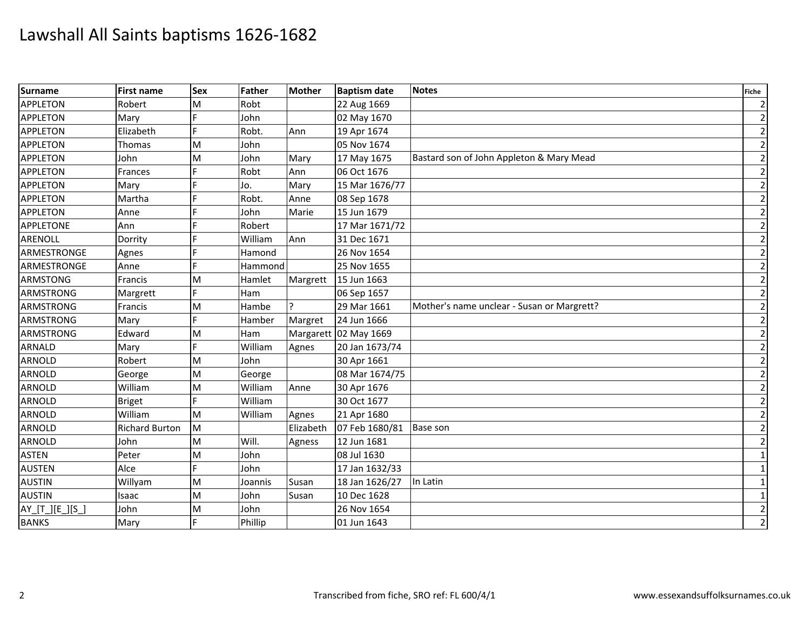| <b>Surname</b>   | <b>First name</b>     | <b>Sex</b> | Father  | <b>Mother</b> | <b>Baptism date</b>   | <b>Notes</b>                               | <b>Fiche</b>   |
|------------------|-----------------------|------------|---------|---------------|-----------------------|--------------------------------------------|----------------|
| <b>APPLETON</b>  | Robert                | M          | Robt    |               | 22 Aug 1669           |                                            | $\overline{2}$ |
| <b>APPLETON</b>  | Mary                  |            | John    |               | 02 May 1670           |                                            | $\overline{2}$ |
| <b>APPLETON</b>  | Elizabeth             |            | Robt.   | Ann           | 19 Apr 1674           |                                            | $\overline{2}$ |
| <b>APPLETON</b>  | Thomas                | M          | John    |               | 05 Nov 1674           |                                            | $\overline{2}$ |
| <b>APPLETON</b>  | John                  | M          | John    | Mary          | 17 May 1675           | Bastard son of John Appleton & Mary Mead   | $\overline{2}$ |
| <b>APPLETON</b>  | Frances               |            | Robt    | Ann           | 06 Oct 1676           |                                            | $\overline{2}$ |
| <b>APPLETON</b>  | Mary                  |            | Jo.     | Mary          | 15 Mar 1676/77        |                                            | $\overline{2}$ |
| <b>APPLETON</b>  | Martha                |            | Robt.   | Anne          | 08 Sep 1678           |                                            | $\overline{2}$ |
| <b>APPLETON</b>  | Anne                  |            | John    | Marie         | 15 Jun 1679           |                                            | $\overline{2}$ |
| <b>APPLETONE</b> | Ann                   |            | Robert  |               | 17 Mar 1671/72        |                                            | $\overline{2}$ |
| <b>ARENOLL</b>   | Dorrity               |            | William | Ann           | 31 Dec 1671           |                                            | $\overline{2}$ |
| ARMESTRONGE      | Agnes                 |            | Hamond  |               | 26 Nov 1654           |                                            | $\overline{2}$ |
| ARMESTRONGE      | Anne                  |            | Hammond |               | 25 Nov 1655           |                                            | $\overline{2}$ |
| <b>ARMSTONG</b>  | Francis               | M          | Hamlet  | Margrett      | 15 Jun 1663           |                                            | $\overline{2}$ |
| <b>ARMSTRONG</b> | Margrett              |            | Ham     |               | 06 Sep 1657           |                                            | $\overline{2}$ |
| <b>ARMSTRONG</b> | Francis               | M          | Hambe   |               | 29 Mar 1661           | Mother's name unclear - Susan or Margrett? | $\overline{2}$ |
| <b>ARMSTRONG</b> | Mary                  |            | Hamber  | Margret       | 24 Jun 1666           |                                            | $\overline{2}$ |
| <b>ARMSTRONG</b> | Edward                | M          | Ham     |               | Margarett 02 May 1669 |                                            | $\overline{2}$ |
| <b>ARNALD</b>    | Mary                  |            | William | Agnes         | 20 Jan 1673/74        |                                            | $\overline{2}$ |
| <b>ARNOLD</b>    | Robert                | M          | John    |               | 30 Apr 1661           |                                            | $\overline{2}$ |
| <b>ARNOLD</b>    | George                | M          | George  |               | 08 Mar 1674/75        |                                            | $\overline{2}$ |
| <b>ARNOLD</b>    | William               | M          | William | Anne          | 30 Apr 1676           |                                            | $\overline{2}$ |
| <b>ARNOLD</b>    | <b>Briget</b>         |            | William |               | 30 Oct 1677           |                                            | $\overline{2}$ |
| ARNOLD           | William               | M          | William | Agnes         | 21 Apr 1680           |                                            | $\mathbf{2}$   |
| <b>ARNOLD</b>    | <b>Richard Burton</b> | M          |         | Elizabeth     | 07 Feb 1680/81        | <b>Base son</b>                            | $\overline{2}$ |
| <b>ARNOLD</b>    | John                  | M          | Will.   | Agness        | 12 Jun 1681           |                                            | $\mathbf{2}$   |
| <b>ASTEN</b>     | Peter                 | M          | John    |               | 08 Jul 1630           |                                            | $1\vert$       |
| <b>AUSTEN</b>    | Alce                  | F          | John    |               | 17 Jan 1632/33        |                                            | $1\vert$       |
| <b>AUSTIN</b>    | Willyam               | M          | Joannis | Susan         | 18 Jan 1626/27        | In Latin                                   | $\mathbf{1}$   |
| <b>AUSTIN</b>    | Isaac                 | M          | John    | Susan         | 10 Dec 1628           |                                            | $1\vert$       |
| AY_[T_][E_][S_]  | John                  | M          | John    |               | 26 Nov 1654           |                                            | $\overline{2}$ |
| <b>BANKS</b>     | Mary                  | F          | Phillip |               | 01 Jun 1643           |                                            | $\overline{2}$ |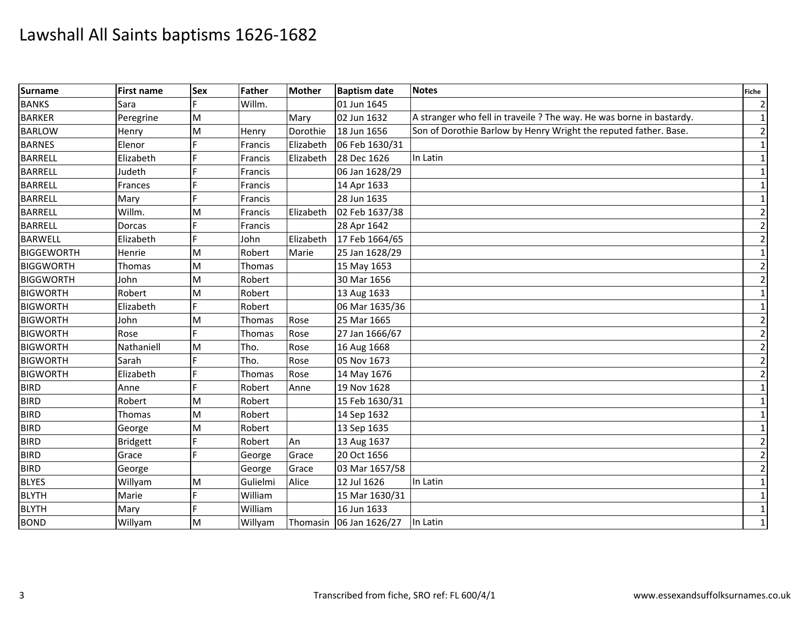| <b>Surname</b>    | <b>First name</b> | <b>Sex</b> | Father   | <b>Mother</b> | <b>Baptism date</b> | <b>Notes</b>                                                         | <b>Fiche</b>   |
|-------------------|-------------------|------------|----------|---------------|---------------------|----------------------------------------------------------------------|----------------|
| <b>BANKS</b>      | Sara              |            | Willm.   |               | 01 Jun 1645         |                                                                      | $\overline{2}$ |
| <b>BARKER</b>     | Peregrine         | M          |          | Mary          | 02 Jun 1632         | A stranger who fell in traveile ? The way. He was borne in bastardy. | $\mathbf{1}$   |
| <b>BARLOW</b>     | Henry             | M          | Henry    | Dorothie      | 18 Jun 1656         | Son of Dorothie Barlow by Henry Wright the reputed father. Base.     | $\overline{2}$ |
| <b>BARNES</b>     | Elenor            |            | Francis  | Elizabeth     | 06 Feb 1630/31      |                                                                      | $\mathbf{1}$   |
| <b>BARRELL</b>    | Elizabeth         |            | Francis  | Elizabeth     | 28 Dec 1626         | In Latin                                                             | $\mathbf{1}$   |
| <b>BARRELL</b>    | Judeth            |            | Francis  |               | 06 Jan 1628/29      |                                                                      | 1              |
| <b>BARRELL</b>    | Frances           |            | Francis  |               | 14 Apr 1633         |                                                                      | $\mathbf{1}$   |
| <b>BARRELL</b>    | Mary              |            | Francis  |               | 28 Jun 1635         |                                                                      | $\mathbf{1}$   |
| <b>BARRELL</b>    | Willm.            | M          | Francis  | Elizabeth     | 02 Feb 1637/38      |                                                                      | $\overline{2}$ |
| <b>BARRELL</b>    | Dorcas            |            | Francis  |               | 28 Apr 1642         |                                                                      | $\overline{2}$ |
| <b>BARWELL</b>    | Elizabeth         |            | John     | Elizabeth     | 17 Feb 1664/65      |                                                                      | $\overline{2}$ |
| <b>BIGGEWORTH</b> | Henrie            | M          | Robert   | Marie         | 25 Jan 1628/29      |                                                                      | $\mathbf{1}$   |
| <b>BIGGWORTH</b>  | Thomas            | M          | Thomas   |               | 15 May 1653         |                                                                      | $\overline{2}$ |
| <b>BIGGWORTH</b>  | John              | M          | Robert   |               | 30 Mar 1656         |                                                                      | $\overline{2}$ |
| <b>BIGWORTH</b>   | Robert            | M          | Robert   |               | 13 Aug 1633         |                                                                      | $\mathbf{1}$   |
| <b>BIGWORTH</b>   | Elizabeth         |            | Robert   |               | 06 Mar 1635/36      |                                                                      | $\mathbf{1}$   |
| <b>BIGWORTH</b>   | John              | M          | Thomas   | Rose          | 25 Mar 1665         |                                                                      | $\overline{2}$ |
| <b>BIGWORTH</b>   | Rose              |            | Thomas   | Rose          | 27 Jan 1666/67      |                                                                      | $\overline{2}$ |
| <b>BIGWORTH</b>   | Nathaniell        | M          | Tho.     | Rose          | 16 Aug 1668         |                                                                      | $\overline{2}$ |
| <b>BIGWORTH</b>   | Sarah             |            | Tho.     | Rose          | 05 Nov 1673         |                                                                      | $\overline{2}$ |
| <b>BIGWORTH</b>   | Elizabeth         |            | Thomas   | Rose          | 14 May 1676         |                                                                      | $\overline{2}$ |
| <b>BIRD</b>       | Anne              | E          | Robert   | Anne          | 19 Nov 1628         |                                                                      | $\mathbf{1}$   |
| <b>BIRD</b>       | Robert            | M          | Robert   |               | 15 Feb 1630/31      |                                                                      | $\mathbf{1}$   |
| <b>BIRD</b>       | Thomas            | M          | Robert   |               | 14 Sep 1632         |                                                                      | 1              |
| <b>BIRD</b>       | George            | M          | Robert   |               | 13 Sep 1635         |                                                                      | 1              |
| <b>BIRD</b>       | <b>Bridgett</b>   | F          | Robert   | An            | 13 Aug 1637         |                                                                      | $\overline{2}$ |
| <b>BIRD</b>       | Grace             |            | George   | Grace         | 20 Oct 1656         |                                                                      | $\overline{2}$ |
| <b>BIRD</b>       | George            |            | George   | Grace         | 03 Mar 1657/58      |                                                                      | $\overline{2}$ |
| <b>BLYES</b>      | Willyam           | M          | Gulielmi | Alice         | 12 Jul 1626         | In Latin                                                             | $\mathbf{1}$   |
| <b>BLYTH</b>      | Marie             |            | William  |               | 15 Mar 1630/31      |                                                                      | $\mathbf{1}$   |
| <b>BLYTH</b>      | Mary              |            | William  |               | 16 Jun 1633         |                                                                      | $\mathbf{1}$   |
| <b>BOND</b>       | Willyam           | M          | Willyam  | Thomasin      | 06 Jan 1626/27      | In Latin                                                             | $\mathbf{1}$   |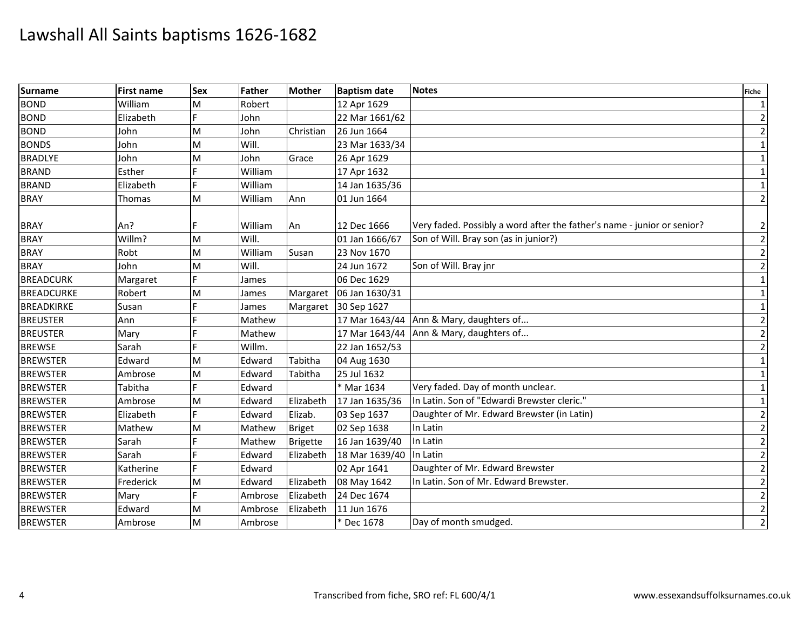| <b>Surname</b>    | <b>First name</b> | <b>Sex</b> | Father  | <b>Mother</b>   | <b>Baptism date</b> | <b>Notes</b>                                                            | <b>Fiche</b>   |
|-------------------|-------------------|------------|---------|-----------------|---------------------|-------------------------------------------------------------------------|----------------|
| <b>BOND</b>       | William           | M          | Robert  |                 | 12 Apr 1629         |                                                                         | 1              |
| <b>BOND</b>       | Elizabeth         | E          | John    |                 | 22 Mar 1661/62      |                                                                         | $\overline{2}$ |
| <b>BOND</b>       | John              | M          | John    | Christian       | 26 Jun 1664         |                                                                         | $\overline{2}$ |
| <b>BONDS</b>      | John              | M          | Will.   |                 | 23 Mar 1633/34      |                                                                         | $\mathbf 1$    |
| <b>BRADLYE</b>    | John              | M          | John    | Grace           | 26 Apr 1629         |                                                                         | $\mathbf{1}$   |
| <b>BRAND</b>      | Esther            |            | William |                 | 17 Apr 1632         |                                                                         | $\mathbf 1$    |
| <b>BRAND</b>      | Elizabeth         |            | William |                 | 14 Jan 1635/36      |                                                                         | $\mathbf{1}$   |
| <b>BRAY</b>       | Thomas            | M          | William | Ann             | 01 Jun 1664         |                                                                         | $\overline{2}$ |
| <b>BRAY</b>       | An?               |            | William | An              | 12 Dec 1666         | Very faded. Possibly a word after the father's name - junior or senior? | $\overline{2}$ |
| <b>BRAY</b>       | Willm?            | M          | Will.   |                 | 01 Jan 1666/67      | Son of Will. Bray son (as in junior?)                                   | $\overline{2}$ |
| <b>BRAY</b>       | Robt              | M          | William | Susan           | 23 Nov 1670         |                                                                         | $\overline{2}$ |
| <b>BRAY</b>       | John              | M          | Will.   |                 | 24 Jun 1672         | Son of Will. Bray jnr                                                   | $\overline{2}$ |
| <b>BREADCURK</b>  | Margaret          | E          | James   |                 | 06 Dec 1629         |                                                                         | $\mathbf{1}$   |
| <b>BREADCURKE</b> | Robert            | M          | James   | Margaret        | 06 Jan 1630/31      |                                                                         | $\mathbf{1}$   |
| <b>BREADKIRKE</b> | Susan             |            | James   | Margaret        | 30 Sep 1627         |                                                                         | $\mathbf{1}$   |
| <b>BREUSTER</b>   | Ann               | E          | Mathew  |                 |                     | 17 Mar 1643/44 Ann & Mary, daughters of                                 | $\overline{2}$ |
| <b>BREUSTER</b>   | Mary              |            | Mathew  |                 |                     | 17 Mar 1643/44 Ann & Mary, daughters of                                 | $\overline{2}$ |
| <b>BREWSE</b>     | Sarah             |            | Willm.  |                 | 22 Jan 1652/53      |                                                                         | $\overline{2}$ |
| <b>BREWSTER</b>   | Edward            | M          | Edward  | Tabitha         | 04 Aug 1630         |                                                                         | $\mathbf{1}$   |
| <b>BREWSTER</b>   | Ambrose           | M          | Edward  | Tabitha         | 25 Jul 1632         |                                                                         | $\mathbf{1}$   |
| <b>BREWSTER</b>   | Tabitha           | E          | Edward  |                 | * Mar 1634          | Very faded. Day of month unclear.                                       | $\mathbf{1}$   |
| <b>BREWSTER</b>   | Ambrose           | M          | Edward  | Elizabeth       | 17 Jan 1635/36      | In Latin. Son of "Edwardi Brewster cleric."                             | $\mathbf{1}$   |
| <b>BREWSTER</b>   | Elizabeth         |            | Edward  | Elizab.         | 03 Sep 1637         | Daughter of Mr. Edward Brewster (in Latin)                              | $\overline{2}$ |
| <b>BREWSTER</b>   | Mathew            | M          | Mathew  | <b>Briget</b>   | 02 Sep 1638         | In Latin                                                                | $\overline{2}$ |
| <b>BREWSTER</b>   | Sarah             | F          | Mathew  | <b>Brigette</b> | 16 Jan 1639/40      | In Latin                                                                | $\overline{2}$ |
| <b>BREWSTER</b>   | Sarah             |            | Edward  | Elizabeth       | 18 Mar 1639/40      | In Latin                                                                | $\overline{2}$ |
| <b>BREWSTER</b>   | Katherine         | F          | Edward  |                 | 02 Apr 1641         | Daughter of Mr. Edward Brewster                                         | $\overline{2}$ |
| <b>BREWSTER</b>   | Frederick         | M          | Edward  | Elizabeth       | 08 May 1642         | In Latin. Son of Mr. Edward Brewster.                                   | $\overline{2}$ |
| <b>BREWSTER</b>   | Mary              | F          | Ambrose | Elizabeth       | 24 Dec 1674         |                                                                         | $\overline{2}$ |
| <b>BREWSTER</b>   | Edward            | M          | Ambrose | Elizabeth       | 11 Jun 1676         |                                                                         | $\overline{2}$ |
| <b>BREWSTER</b>   | Ambrose           | M          | Ambrose |                 | * Dec 1678          | Day of month smudged.                                                   | $\overline{2}$ |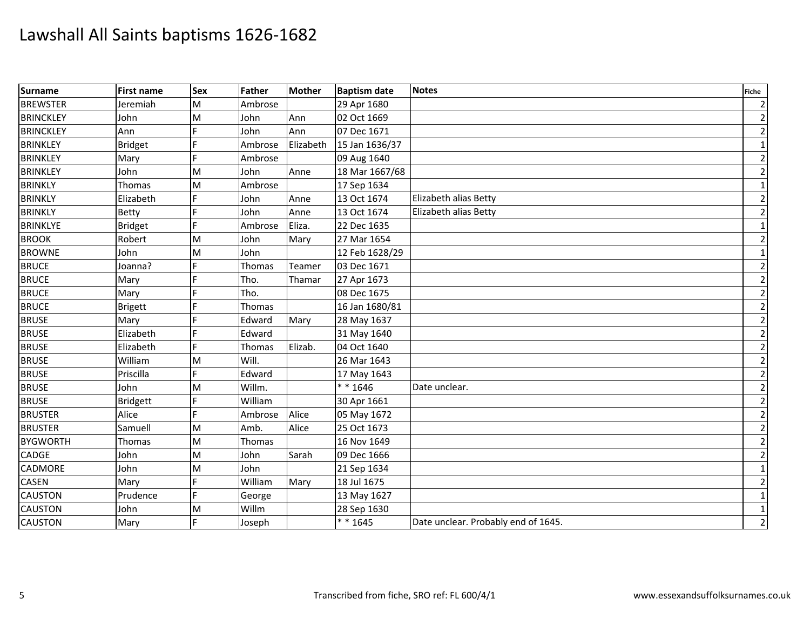| Surname          | <b>First name</b> | <b>Sex</b> | Father  | <b>Mother</b> | <b>Baptism date</b> | <b>Notes</b>                        | <b>Fiche</b>   |
|------------------|-------------------|------------|---------|---------------|---------------------|-------------------------------------|----------------|
| <b>BREWSTER</b>  | Jeremiah          | M          | Ambrose |               | 29 Apr 1680         |                                     | $\overline{2}$ |
| <b>BRINCKLEY</b> | John              | M          | John    | Ann           | 02 Oct 1669         |                                     | $\overline{2}$ |
| <b>BRINCKLEY</b> | Ann               |            | John    | Ann           | 07 Dec 1671         |                                     | $\overline{2}$ |
| <b>BRINKLEY</b>  | Bridget           | F          | Ambrose | Elizabeth     | 15 Jan 1636/37      |                                     | $\mathbf 1$    |
| <b>BRINKLEY</b>  | Mary              |            | Ambrose |               | 09 Aug 1640         |                                     | $\overline{2}$ |
| <b>BRINKLEY</b>  | John              | M          | John    | Anne          | 18 Mar 1667/68      |                                     | $\overline{2}$ |
| <b>BRINKLY</b>   | Thomas            | M          | Ambrose |               | 17 Sep 1634         |                                     | $\mathbf{1}$   |
| <b>BRINKLY</b>   | Elizabeth         | F          | John    | Anne          | 13 Oct 1674         | Elizabeth alias Betty               | $\overline{2}$ |
| <b>BRINKLY</b>   | <b>Betty</b>      |            | John    | Anne          | 13 Oct 1674         | Elizabeth alias Betty               | $\overline{2}$ |
| <b>BRINKLYE</b>  | <b>Bridget</b>    |            | Ambrose | Eliza.        | 22 Dec 1635         |                                     | $\mathbf{1}$   |
| <b>BROOK</b>     | Robert            | M          | John    | Mary          | 27 Mar 1654         |                                     | $\overline{2}$ |
| <b>BROWNE</b>    | John              | M          | John    |               | 12 Feb 1628/29      |                                     | $\mathbf{1}$   |
| <b>BRUCE</b>     | Joanna?           |            | Thomas  | Teamer        | 03 Dec 1671         |                                     | $\overline{2}$ |
| <b>BRUCE</b>     | Mary              |            | Tho.    | Thamar        | 27 Apr 1673         |                                     | $\overline{2}$ |
| <b>BRUCE</b>     | Mary              |            | Tho.    |               | 08 Dec 1675         |                                     | $\overline{2}$ |
| <b>BRUCE</b>     | <b>Brigett</b>    |            | Thomas  |               | 16 Jan 1680/81      |                                     | $\overline{2}$ |
| <b>BRUSE</b>     | Mary              |            | Edward  | Mary          | 28 May 1637         |                                     | $\overline{2}$ |
| <b>BRUSE</b>     | Elizabeth         |            | Edward  |               | 31 May 1640         |                                     | $\overline{2}$ |
| <b>BRUSE</b>     | Elizabeth         |            | Thomas  | Elizab.       | 04 Oct 1640         |                                     | $\overline{2}$ |
| <b>BRUSE</b>     | William           | M          | Will.   |               | 26 Mar 1643         |                                     | $\overline{2}$ |
| <b>BRUSE</b>     | Priscilla         |            | Edward  |               | 17 May 1643         |                                     | $\overline{2}$ |
| <b>BRUSE</b>     | John              | M          | Willm.  |               | $* * 1646$          | Date unclear.                       | $\overline{2}$ |
| <b>BRUSE</b>     | <b>Bridgett</b>   |            | William |               | 30 Apr 1661         |                                     | $\overline{2}$ |
| <b>BRUSTER</b>   | Alice             |            | Ambrose | Alice         | 05 May 1672         |                                     | $\overline{2}$ |
| <b>BRUSTER</b>   | Samuell           | M          | Amb.    | Alice         | 25 Oct 1673         |                                     | $\overline{2}$ |
| <b>BYGWORTH</b>  | Thomas            | M          | Thomas  |               | 16 Nov 1649         |                                     | $\overline{2}$ |
| <b>CADGE</b>     | John              | M          | John    | Sarah         | 09 Dec 1666         |                                     | $\overline{2}$ |
| <b>CADMORE</b>   | John              | M          | John    |               | 21 Sep 1634         |                                     | 1              |
| <b>CASEN</b>     | Mary              |            | William | Mary          | 18 Jul 1675         |                                     | $\overline{c}$ |
| <b>CAUSTON</b>   | Prudence          | E          | George  |               | 13 May 1627         |                                     | $\mathbf{1}$   |
| <b>CAUSTON</b>   | John              | M          | Willm   |               | 28 Sep 1630         |                                     | $\mathbf{1}$   |
| <b>CAUSTON</b>   | Mary              | F          | Joseph  |               | $* * 1645$          | Date unclear. Probably end of 1645. | $\overline{2}$ |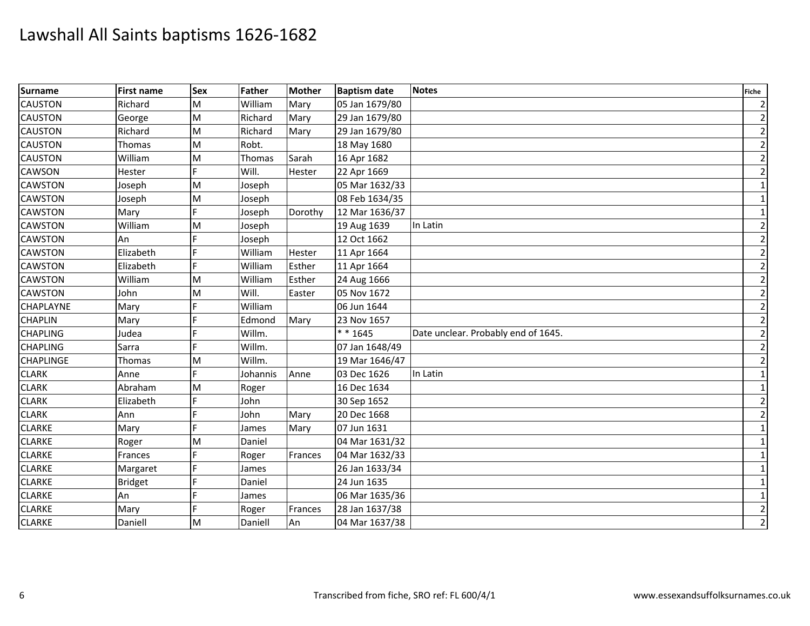| <b>Surname</b>   | <b>First name</b> | <b>Sex</b> | Father   | <b>Mother</b> | <b>Baptism date</b> | <b>Notes</b>                        | <b>Fiche</b>   |
|------------------|-------------------|------------|----------|---------------|---------------------|-------------------------------------|----------------|
| <b>CAUSTON</b>   | Richard           | M          | William  | Mary          | 05 Jan 1679/80      |                                     | $\overline{2}$ |
| <b>CAUSTON</b>   | George            | M          | Richard  | Mary          | 29 Jan 1679/80      |                                     | $\overline{2}$ |
| <b>CAUSTON</b>   | Richard           | M          | Richard  | Mary          | 29 Jan 1679/80      |                                     | $\overline{2}$ |
| <b>CAUSTON</b>   | Thomas            | M          | Robt.    |               | 18 May 1680         |                                     | $\overline{2}$ |
| <b>CAUSTON</b>   | William           | M          | Thomas   | Sarah         | 16 Apr 1682         |                                     | $\overline{2}$ |
| <b>CAWSON</b>    | Hester            | F          | Will.    | Hester        | 22 Apr 1669         |                                     | $\overline{2}$ |
| <b>CAWSTON</b>   | Joseph            | M          | Joseph   |               | 05 Mar 1632/33      |                                     | $\mathbf{1}$   |
| <b>CAWSTON</b>   | Joseph            | M          | Joseph   |               | 08 Feb 1634/35      |                                     | $\mathbf{1}$   |
| <b>CAWSTON</b>   | Mary              | F          | Joseph   | Dorothy       | 12 Mar 1636/37      |                                     | 1              |
| <b>CAWSTON</b>   | William           | M          | Joseph   |               | 19 Aug 1639         | In Latin                            | $\overline{2}$ |
| <b>CAWSTON</b>   | An                |            | Joseph   |               | 12 Oct 1662         |                                     | $\overline{2}$ |
| <b>CAWSTON</b>   | Elizabeth         |            | William  | Hester        | 11 Apr 1664         |                                     | $\overline{2}$ |
| <b>CAWSTON</b>   | Elizabeth         | Е          | William  | Esther        | 11 Apr 1664         |                                     | $\overline{2}$ |
| <b>CAWSTON</b>   | William           | M          | William  | Esther        | 24 Aug 1666         |                                     | $\overline{2}$ |
| <b>CAWSTON</b>   | John              | M          | Will.    | Easter        | 05 Nov 1672         |                                     | $\overline{2}$ |
| <b>CHAPLAYNE</b> | Mary              |            | William  |               | 06 Jun 1644         |                                     | $\overline{2}$ |
| <b>CHAPLIN</b>   | Mary              |            | Edmond   | Mary          | 23 Nov 1657         |                                     | $\overline{2}$ |
| <b>CHAPLING</b>  | Judea             |            | Willm.   |               | * * 1645            | Date unclear. Probably end of 1645. | $\overline{2}$ |
| <b>CHAPLING</b>  | Sarra             |            | Willm.   |               | 07 Jan 1648/49      |                                     | $\overline{2}$ |
| <b>CHAPLINGE</b> | Thomas            | M          | Willm.   |               | 19 Mar 1646/47      |                                     | $\overline{2}$ |
| <b>CLARK</b>     | Anne              | F          | Johannis | Anne          | 03 Dec 1626         | In Latin                            | $\mathbf{1}$   |
| <b>CLARK</b>     | Abraham           | M          | Roger    |               | 16 Dec 1634         |                                     | $\mathbf{1}$   |
| <b>CLARK</b>     | Elizabeth         | F          | John     |               | 30 Sep 1652         |                                     | $\overline{2}$ |
| <b>CLARK</b>     | Ann               |            | John     | Mary          | 20 Dec 1668         |                                     | $\overline{2}$ |
| <b>CLARKE</b>    | Mary              |            | James    | Mary          | 07 Jun 1631         |                                     | $\mathbf{1}$   |
| <b>CLARKE</b>    | Roger             | M          | Daniel   |               | 04 Mar 1631/32      |                                     | $\mathbf{1}$   |
| <b>CLARKE</b>    | Frances           | E          | Roger    | Frances       | 04 Mar 1632/33      |                                     | 1              |
| <b>CLARKE</b>    | Margaret          | F          | James    |               | 26 Jan 1633/34      |                                     | $\mathbf{1}$   |
| <b>CLARKE</b>    | <b>Bridget</b>    |            | Daniel   |               | 24 Jun 1635         |                                     | 1              |
| <b>CLARKE</b>    | An                | Е          | James    |               | 06 Mar 1635/36      |                                     | $\mathbf 1$    |
| <b>CLARKE</b>    | Mary              |            | Roger    | Frances       | 28 Jan 1637/38      |                                     | $\overline{2}$ |
| <b>CLARKE</b>    | Daniell           | M          | Daniell  | An            | 04 Mar 1637/38      |                                     | $\overline{2}$ |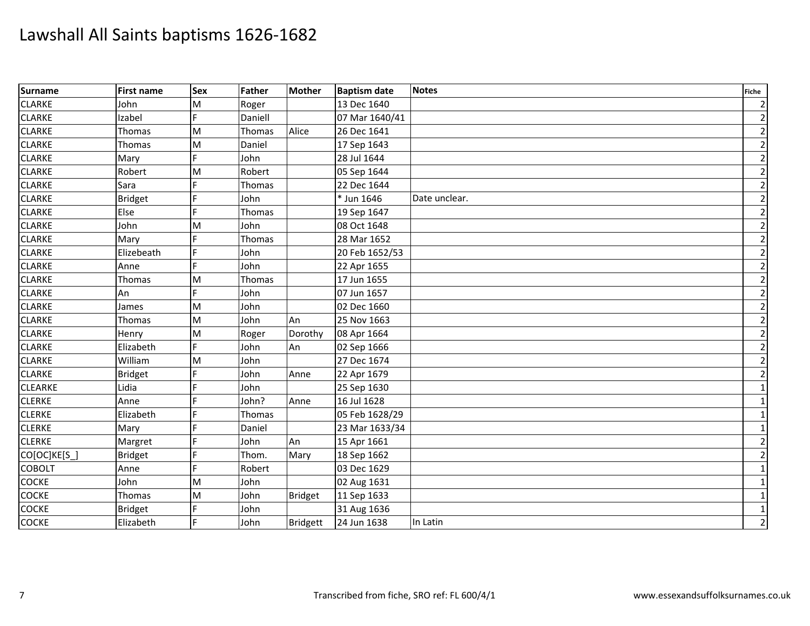| Surname        | <b>First name</b> | <b>Sex</b> | Father        | <b>Mother</b>   | <b>Baptism date</b> | <b>Notes</b>  | <b>Fiche</b>   |
|----------------|-------------------|------------|---------------|-----------------|---------------------|---------------|----------------|
| <b>CLARKE</b>  | John              | M          | Roger         |                 | 13 Dec 1640         |               | $\overline{2}$ |
| <b>CLARKE</b>  | Izabel            |            | Daniell       |                 | 07 Mar 1640/41      |               | $\overline{2}$ |
| <b>CLARKE</b>  | <b>Thomas</b>     | M          | Thomas        | Alice           | 26 Dec 1641         |               | $\overline{2}$ |
| <b>CLARKE</b>  | Thomas            | M          | Daniel        |                 | 17 Sep 1643         |               | $\overline{2}$ |
| <b>CLARKE</b>  | Mary              | E          | John          |                 | 28 Jul 1644         |               | $\overline{2}$ |
| <b>CLARKE</b>  | Robert            | M          | Robert        |                 | 05 Sep 1644         |               | $\overline{2}$ |
| <b>CLARKE</b>  | Sara              |            | <b>Thomas</b> |                 | 22 Dec 1644         |               | $\overline{2}$ |
| <b>CLARKE</b>  | <b>Bridget</b>    |            | John          |                 | * Jun 1646          | Date unclear. | $\overline{2}$ |
| <b>CLARKE</b>  | Else              |            | Thomas        |                 | 19 Sep 1647         |               | $\overline{2}$ |
| <b>CLARKE</b>  | John              | M          | John          |                 | 08 Oct 1648         |               | $\overline{2}$ |
| <b>CLARKE</b>  | Mary              |            | Thomas        |                 | 28 Mar 1652         |               | $\overline{2}$ |
| <b>CLARKE</b>  | Elizebeath        | F          | John          |                 | 20 Feb 1652/53      |               | $\overline{2}$ |
| <b>CLARKE</b>  | Anne              |            | John          |                 | 22 Apr 1655         |               | $\overline{2}$ |
| <b>CLARKE</b>  | Thomas            | M          | Thomas        |                 | 17 Jun 1655         |               | $\overline{2}$ |
| <b>CLARKE</b>  | An                | F          | John          |                 | 07 Jun 1657         |               | $\overline{2}$ |
| <b>CLARKE</b>  | James             | M          | John          |                 | 02 Dec 1660         |               | $\overline{2}$ |
| <b>CLARKE</b>  | Thomas            | M          | John          | An              | 25 Nov 1663         |               | $\overline{2}$ |
| <b>CLARKE</b>  | Henry             | M          | Roger         | Dorothy         | 08 Apr 1664         |               | $\overline{2}$ |
| <b>CLARKE</b>  | Elizabeth         | F          | John          | An              | 02 Sep 1666         |               | $\overline{2}$ |
| <b>CLARKE</b>  | William           | M          | John          |                 | 27 Dec 1674         |               | $\overline{2}$ |
| <b>CLARKE</b>  | <b>Bridget</b>    | E          | John          | Anne            | 22 Apr 1679         |               | $\overline{2}$ |
| <b>CLEARKE</b> | Lidia             |            | John          |                 | 25 Sep 1630         |               | $\mathbf 1$    |
| <b>CLERKE</b>  | Anne              |            | John?         | Anne            | 16 Jul 1628         |               | $\mathbf{1}$   |
| <b>CLERKE</b>  | Elizabeth         | F          | Thomas        |                 | 05 Feb 1628/29      |               | $\mathbf 1$    |
| <b>CLERKE</b>  | Mary              |            | Daniel        |                 | 23 Mar 1633/34      |               | $\mathbf{1}$   |
| <b>CLERKE</b>  | Margret           | F          | John          | An              | 15 Apr 1661         |               | $\overline{2}$ |
| CO[OC]KE[S_]   | <b>Bridget</b>    |            | Thom.         | Mary            | 18 Sep 1662         |               | $\overline{2}$ |
| <b>COBOLT</b>  | Anne              | F          | Robert        |                 | 03 Dec 1629         |               | $\mathbf{1}$   |
| <b>COCKE</b>   | John              | M          | John          |                 | 02 Aug 1631         |               | $\mathbf{1}$   |
| <b>COCKE</b>   | Thomas            | M          | John          | <b>Bridget</b>  | 11 Sep 1633         |               | $\mathbf{1}$   |
| <b>COCKE</b>   | <b>Bridget</b>    |            | John          |                 | 31 Aug 1636         |               | $\mathbf{1}$   |
| <b>COCKE</b>   | Elizabeth         | F          | John          | <b>Bridgett</b> | 24 Jun 1638         | In Latin      | $\overline{2}$ |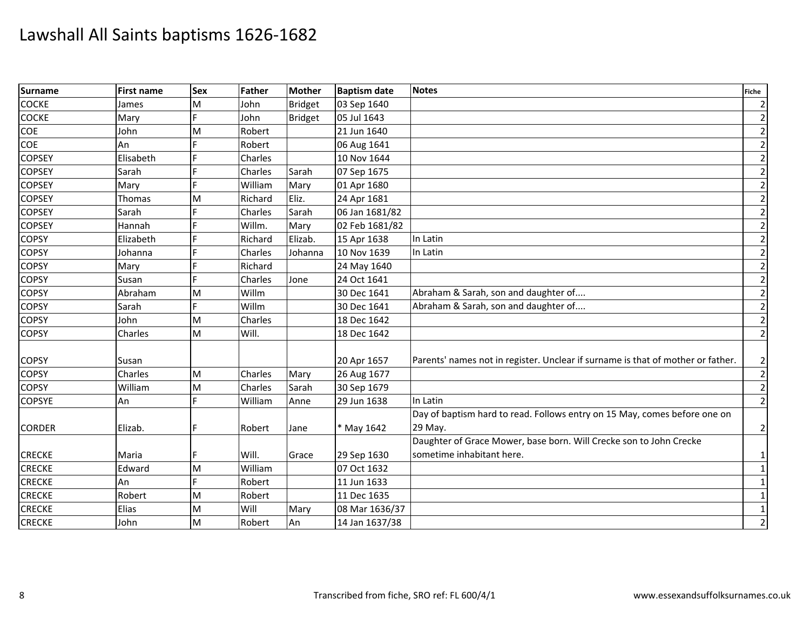| <b>Surname</b> | <b>First name</b> | <b>Sex</b> | <b>Father</b> | <b>Mother</b>  | <b>Baptism date</b> | <b>Notes</b>                                                                    | <b>Fiche</b>   |
|----------------|-------------------|------------|---------------|----------------|---------------------|---------------------------------------------------------------------------------|----------------|
| <b>COCKE</b>   | James             | M          | John          | <b>Bridget</b> | 03 Sep 1640         |                                                                                 | $\overline{2}$ |
| <b>COCKE</b>   | Mary              | E          | John          | <b>Bridget</b> | 05 Jul 1643         |                                                                                 | $\overline{2}$ |
| COE            | John              | M          | Robert        |                | 21 Jun 1640         |                                                                                 | $\overline{2}$ |
| COE            | An                | E          | Robert        |                | 06 Aug 1641         |                                                                                 | $\mathbf{2}$   |
| <b>COPSEY</b>  | Elisabeth         |            | Charles       |                | 10 Nov 1644         |                                                                                 | $\overline{2}$ |
| <b>COPSEY</b>  | Sarah             |            | Charles       | Sarah          | 07 Sep 1675         |                                                                                 | $\mathbf{2}$   |
| <b>COPSEY</b>  | Mary              |            | William       | Mary           | 01 Apr 1680         |                                                                                 | $\overline{2}$ |
| <b>COPSEY</b>  | Thomas            | M          | Richard       | Eliz.          | 24 Apr 1681         |                                                                                 | $\overline{2}$ |
| <b>COPSEY</b>  | Sarah             | F          | Charles       | Sarah          | 06 Jan 1681/82      |                                                                                 | $\overline{2}$ |
| <b>COPSEY</b>  | Hannah            |            | Willm.        | Mary           | 02 Feb 1681/82      |                                                                                 | $\overline{2}$ |
| <b>COPSY</b>   | Elizabeth         |            | Richard       | Elizab.        | 15 Apr 1638         | In Latin                                                                        | $\overline{2}$ |
| <b>COPSY</b>   | Johanna           |            | Charles       | Johanna        | 10 Nov 1639         | In Latin                                                                        | $\overline{2}$ |
| <b>COPSY</b>   | Mary              | F          | Richard       |                | 24 May 1640         |                                                                                 | $\overline{2}$ |
| <b>COPSY</b>   | Susan             |            | Charles       | Jone           | 24 Oct 1641         |                                                                                 | $\mathbf{2}$   |
| <b>COPSY</b>   | Abraham           | M          | Willm         |                | 30 Dec 1641         | Abraham & Sarah, son and daughter of                                            | $\mathbf{2}$   |
| <b>COPSY</b>   | Sarah             |            | Willm         |                | 30 Dec 1641         | Abraham & Sarah, son and daughter of                                            | $\overline{2}$ |
| <b>COPSY</b>   | John              | M          | Charles       |                | 18 Dec 1642         |                                                                                 | $\mathbf{2}$   |
| <b>COPSY</b>   | Charles           | M          | Will.         |                | 18 Dec 1642         |                                                                                 | $\overline{2}$ |
|                |                   |            |               |                |                     |                                                                                 |                |
| <b>COPSY</b>   | Susan             |            |               |                | 20 Apr 1657         | Parents' names not in register. Unclear if surname is that of mother or father. | $\overline{2}$ |
| <b>COPSY</b>   | Charles           | M          | Charles       | Mary           | 26 Aug 1677         |                                                                                 | $\mathbf{2}$   |
| <b>COPSY</b>   | William           | M          | Charles       | Sarah          | 30 Sep 1679         |                                                                                 | $\overline{2}$ |
| <b>COPSYE</b>  | An                | E          | William       | Anne           | 29 Jun 1638         | In Latin                                                                        | $\overline{2}$ |
|                |                   |            |               |                |                     | Day of baptism hard to read. Follows entry on 15 May, comes before one on       |                |
| <b>CORDER</b>  | Elizab.           |            | Robert        | Jane           | * May 1642          | 29 May.                                                                         | $\overline{2}$ |
|                |                   |            |               |                |                     | Daughter of Grace Mower, base born. Will Crecke son to John Crecke              |                |
| <b>CRECKE</b>  | Maria             |            | Will.         | Grace          | 29 Sep 1630         | sometime inhabitant here.                                                       | 1              |
| <b>CRECKE</b>  | Edward            | M          | William       |                | 07 Oct 1632         |                                                                                 | $1\vert$       |
| <b>CRECKE</b>  | An                | F          | Robert        |                | 11 Jun 1633         |                                                                                 | $\vert$ 1      |
| <b>CRECKE</b>  | Robert            | M          | Robert        |                | 11 Dec 1635         |                                                                                 | $\mathbf{1}$   |
| <b>CRECKE</b>  | Elias             | M          | Will          | Mary           | 08 Mar 1636/37      |                                                                                 | $1\vert$       |
| <b>CRECKE</b>  | John              | M          | Robert        | An             | 14 Jan 1637/38      |                                                                                 | $\overline{2}$ |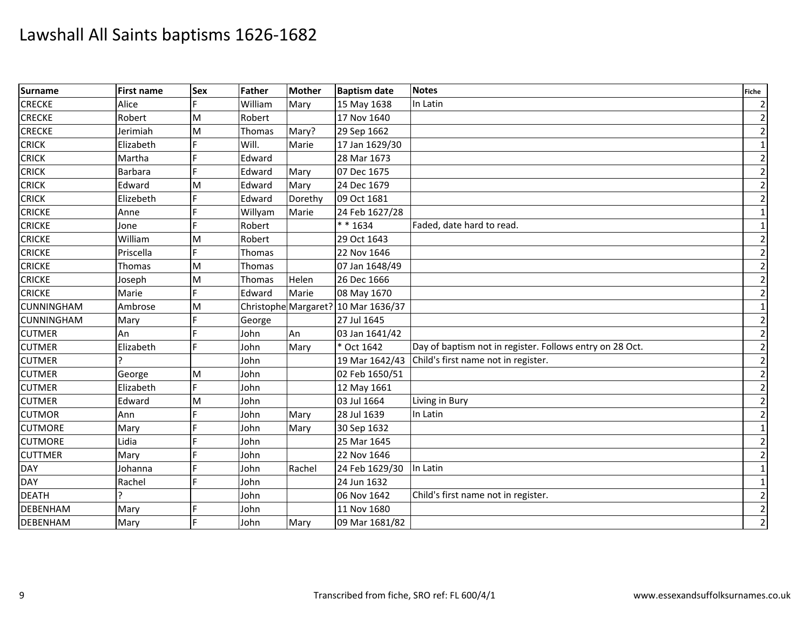| <b>Surname</b>    | <b>First name</b> | <b>Sex</b> | Father        | <b>Mother</b> | <b>Baptism date</b>                 | <b>Notes</b>                                             | <b>Fiche</b>            |
|-------------------|-------------------|------------|---------------|---------------|-------------------------------------|----------------------------------------------------------|-------------------------|
| <b>CRECKE</b>     | Alice             |            | William       | Mary          | 15 May 1638                         | In Latin                                                 | $\overline{2}$          |
| <b>CRECKE</b>     | Robert            | M          | Robert        |               | 17 Nov 1640                         |                                                          | $\overline{2}$          |
| <b>CRECKE</b>     | Jerimiah          | M          | <b>Thomas</b> | Mary?         | 29 Sep 1662                         |                                                          | $\overline{2}$          |
| <b>CRICK</b>      | Elizabeth         |            | Will.         | Marie         | 17 Jan 1629/30                      |                                                          | $\mathbf{1}$            |
| <b>CRICK</b>      | Martha            |            | Edward        |               | 28 Mar 1673                         |                                                          | $\overline{2}$          |
| <b>CRICK</b>      | Barbara           | F          | Edward        | Mary          | 07 Dec 1675                         |                                                          | $\overline{2}$          |
| <b>CRICK</b>      | Edward            | M          | Edward        | Mary          | 24 Dec 1679                         |                                                          | $\overline{2}$          |
| <b>CRICK</b>      | Elizebeth         |            | Edward        | Dorethy       | 09 Oct 1681                         |                                                          | $\overline{2}$          |
| <b>CRICKE</b>     | Anne              |            | Willyam       | Marie         | 24 Feb 1627/28                      |                                                          | $\mathbf{1}$            |
| <b>CRICKE</b>     | Jone              | E.         | Robert        |               | $* * 1634$                          | Faded, date hard to read.                                | $\mathbf{1}$            |
| <b>CRICKE</b>     | William           | M          | Robert        |               | 29 Oct 1643                         |                                                          | $\overline{2}$          |
| <b>CRICKE</b>     | Priscella         | F          | Thomas        |               | 22 Nov 1646                         |                                                          | $\overline{2}$          |
| <b>CRICKE</b>     | <b>Thomas</b>     | M          | Thomas        |               | 07 Jan 1648/49                      |                                                          | $\overline{2}$          |
| <b>CRICKE</b>     | Joseph            | M          | Thomas        | Helen         | 26 Dec 1666                         |                                                          | $\overline{2}$          |
| <b>CRICKE</b>     | Marie             | F          | Edward        | Marie         | 08 May 1670                         |                                                          | $\overline{2}$          |
| <b>CUNNINGHAM</b> | Ambrose           | M          |               |               | Christophe Margaret? 10 Mar 1636/37 |                                                          | $\mathbf 1$             |
| <b>CUNNINGHAM</b> | Mary              | F          | George        |               | 27 Jul 1645                         |                                                          | $\overline{2}$          |
| <b>CUTMER</b>     | An                |            | John          | An            | 03 Jan 1641/42                      |                                                          | $\overline{2}$          |
| <b>CUTMER</b>     | Elizabeth         |            | John          | Mary          | * Oct 1642                          | Day of baptism not in register. Follows entry on 28 Oct. | $\overline{2}$          |
| <b>CUTMER</b>     |                   |            | John          |               | 19 Mar 1642/43                      | Child's first name not in register.                      | $\overline{2}$          |
| <b>CUTMER</b>     | George            | M          | John          |               | 02 Feb 1650/51                      |                                                          | $\overline{2}$          |
| <b>CUTMER</b>     | Elizabeth         | F          | John          |               | 12 May 1661                         |                                                          | $\overline{2}$          |
| <b>CUTMER</b>     | Edward            | M          | John          |               | 03 Jul 1664                         | Living in Bury                                           | $\overline{2}$          |
| <b>CUTMOR</b>     | Ann               |            | John          | Mary          | 28 Jul 1639                         | In Latin                                                 | $\overline{2}$          |
| <b>CUTMORE</b>    | Mary              |            | John          | Mary          | 30 Sep 1632                         |                                                          | $\mathbf{1}$            |
| <b>CUTMORE</b>    | Lidia             |            | John          |               | 25 Mar 1645                         |                                                          | $\overline{2}$          |
| <b>CUTTMER</b>    | Mary              |            | John          |               | 22 Nov 1646                         |                                                          | $\overline{2}$          |
| <b>DAY</b>        | Johanna           |            | John          | Rachel        | 24 Feb 1629/30                      | In Latin                                                 | $\mathbf{1}$            |
| <b>DAY</b>        | Rachel            |            | John          |               | 24 Jun 1632                         |                                                          | 1                       |
| <b>DEATH</b>      |                   |            | John          |               | 06 Nov 1642                         | Child's first name not in register.                      | $\overline{\mathbf{c}}$ |
| <b>DEBENHAM</b>   | Mary              |            | John          |               | 11 Nov 1680                         |                                                          | $\overline{2}$          |
| <b>DEBENHAM</b>   | Mary              |            | John          | Mary          | 09 Mar 1681/82                      |                                                          | $\overline{2}$          |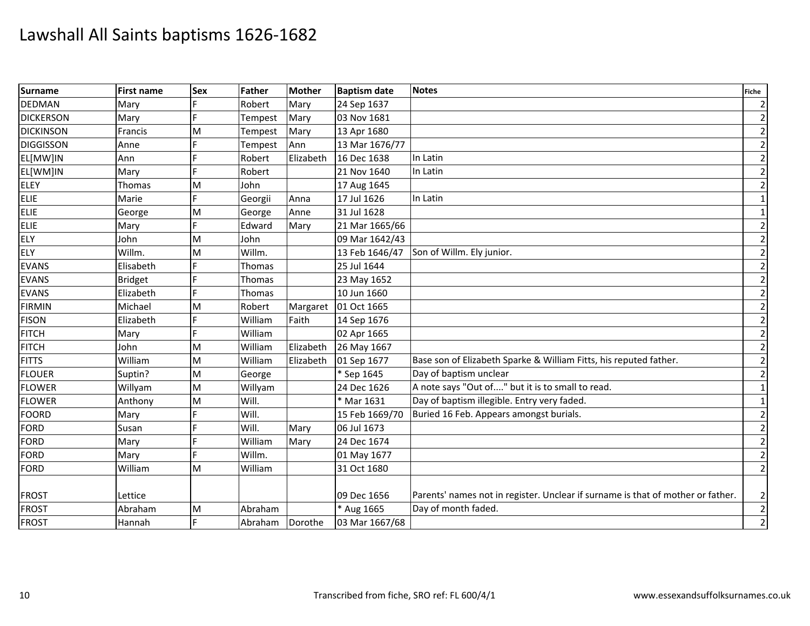| <b>Surname</b>   | <b>First name</b> | <b>Sex</b> | Father  | <b>Mother</b> | <b>Baptism date</b> | <b>Notes</b>                                                                    | <b>Fiche</b>   |
|------------------|-------------------|------------|---------|---------------|---------------------|---------------------------------------------------------------------------------|----------------|
| <b>DEDMAN</b>    | Mary              |            | Robert  | Mary          | 24 Sep 1637         |                                                                                 | $\overline{2}$ |
| <b>DICKERSON</b> | Mary              | E          | Tempest | Mary          | 03 Nov 1681         |                                                                                 | $\overline{2}$ |
| <b>DICKINSON</b> | Francis           | M          | Tempest | Mary          | 13 Apr 1680         |                                                                                 | $\overline{2}$ |
| <b>DIGGISSON</b> | Anne              | F          | Tempest | Ann           | 13 Mar 1676/77      |                                                                                 | $\overline{2}$ |
| EL[MW]IN         | Ann               |            | Robert  | Elizabeth     | 16 Dec 1638         | In Latin                                                                        | $\overline{2}$ |
| EL[WM]IN         | Mary              | F          | Robert  |               | 21 Nov 1640         | In Latin                                                                        | $\overline{2}$ |
| <b>ELEY</b>      | Thomas            | M          | John    |               | 17 Aug 1645         |                                                                                 | $\overline{2}$ |
| <b>ELIE</b>      | Marie             |            | Georgii | Anna          | 17 Jul 1626         | In Latin                                                                        | $\mathbf{1}$   |
| <b>ELIE</b>      | George            | M          | George  | Anne          | 31 Jul 1628         |                                                                                 | $\mathbf 1$    |
| ELIE             | Mary              | Е          | Edward  | Mary          | 21 Mar 1665/66      |                                                                                 | $\overline{2}$ |
| <b>ELY</b>       | John              | M          | John    |               | 09 Mar 1642/43      |                                                                                 | $\overline{2}$ |
| ELY              | Willm.            | M          | Willm.  |               | 13 Feb 1646/47      | Son of Willm. Ely junior.                                                       | $\overline{2}$ |
| <b>EVANS</b>     | Elisabeth         | E          | Thomas  |               | 25 Jul 1644         |                                                                                 | $\overline{c}$ |
| <b>EVANS</b>     | <b>Bridget</b>    |            | Thomas  |               | 23 May 1652         |                                                                                 | $\overline{2}$ |
| <b>EVANS</b>     | Elizabeth         | E          | Thomas  |               | 10 Jun 1660         |                                                                                 | $\overline{2}$ |
| <b>FIRMIN</b>    | Michael           | M          | Robert  | Margaret      | 01 Oct 1665         |                                                                                 | $\overline{2}$ |
| <b>FISON</b>     | Elizabeth         | E          | William | Faith         | 14 Sep 1676         |                                                                                 | $\overline{2}$ |
| <b>FITCH</b>     | Mary              |            | William |               | 02 Apr 1665         |                                                                                 | $\overline{2}$ |
| <b>FITCH</b>     | John              | M          | William | Elizabeth     | 26 May 1667         |                                                                                 | $\overline{2}$ |
| <b>FITTS</b>     | William           | M          | William | Elizabeth     | 01 Sep 1677         | Base son of Elizabeth Sparke & William Fitts, his reputed father.               | $\overline{2}$ |
| <b>FLOUER</b>    | Suptin?           | M          | George  |               | * Sep 1645          | Day of baptism unclear                                                          | $\overline{2}$ |
| <b>FLOWER</b>    | Willyam           | M          | Willyam |               | 24 Dec 1626         | A note says "Out of" but it is to small to read.                                | $\mathbf{1}$   |
| <b>FLOWER</b>    | Anthony           | M          | Will.   |               | * Mar 1631          | Day of baptism illegible. Entry very faded.                                     | $\mathbf{1}$   |
| <b>FOORD</b>     | Mary              |            | Will.   |               | 15 Feb 1669/70      | Buried 16 Feb. Appears amongst burials.                                         | $\overline{2}$ |
| FORD             | Susan             |            | Will.   | Mary          | 06 Jul 1673         |                                                                                 | $\overline{2}$ |
| <b>FORD</b>      | Mary              |            | William | Mary          | 24 Dec 1674         |                                                                                 | $\overline{2}$ |
| FORD             | Mary              |            | Willm.  |               | 01 May 1677         |                                                                                 | $\overline{2}$ |
| FORD             | William           | M          | William |               | 31 Oct 1680         |                                                                                 | $\overline{2}$ |
| <b>FROST</b>     | Lettice           |            |         |               | 09 Dec 1656         | Parents' names not in register. Unclear if surname is that of mother or father. | $\overline{2}$ |
| <b>FROST</b>     | Abraham           | M          | Abraham |               | * Aug 1665          | Day of month faded.                                                             | $\overline{2}$ |
| <b>FROST</b>     | Hannah            | E          | Abraham | Dorothe       | 03 Mar 1667/68      |                                                                                 | $\overline{2}$ |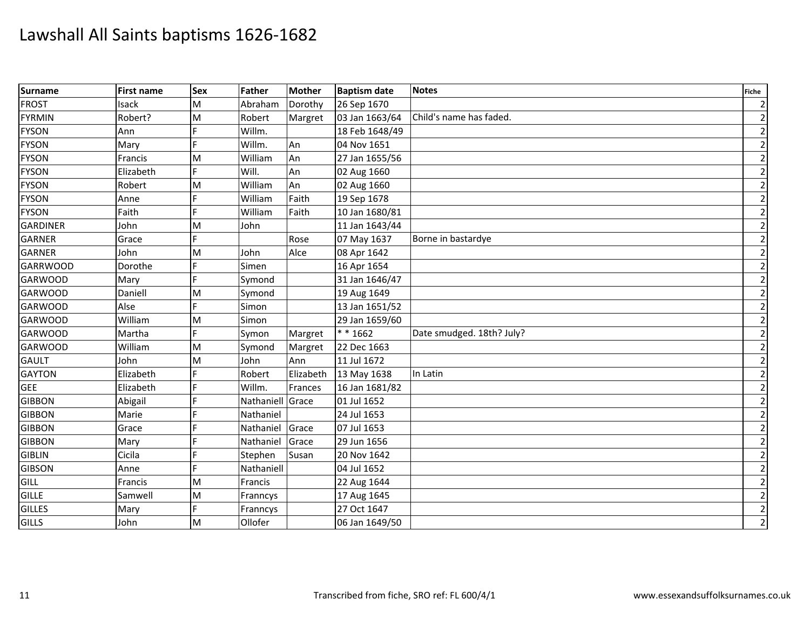| <b>Surname</b>  | <b>First name</b> | <b>Sex</b> | Father         | <b>Mother</b> | <b>Baptism date</b> | <b>Notes</b>              | <b>Fiche</b>   |
|-----------------|-------------------|------------|----------------|---------------|---------------------|---------------------------|----------------|
| <b>FROST</b>    | Isack             | M          | Abraham        | Dorothy       | 26 Sep 1670         |                           | $\overline{2}$ |
| <b>FYRMIN</b>   | Robert?           | M          | Robert         | Margret       | 03 Jan 1663/64      | Child's name has faded.   | $\overline{2}$ |
| <b>FYSON</b>    | Ann               |            | Willm.         |               | 18 Feb 1648/49      |                           | $\overline{2}$ |
| <b>FYSON</b>    | Mary              |            | Willm.         | An            | 04 Nov 1651         |                           | $\overline{2}$ |
| <b>FYSON</b>    | Francis           | M          | William        | An            | 27 Jan 1655/56      |                           | $\overline{2}$ |
| <b>FYSON</b>    | Elizabeth         | F          | Will.          | An            | 02 Aug 1660         |                           | $\overline{2}$ |
| <b>FYSON</b>    | Robert            | M          | William        | An            | 02 Aug 1660         |                           | $\overline{2}$ |
| <b>FYSON</b>    | Anne              |            | William        | Faith         | 19 Sep 1678         |                           | $\overline{2}$ |
| <b>FYSON</b>    | Faith             | F          | William        | Faith         | 10 Jan 1680/81      |                           | $\overline{c}$ |
| <b>GARDINER</b> | John              | M          | John           |               | 11 Jan 1643/44      |                           | $\overline{2}$ |
| <b>GARNER</b>   | Grace             |            |                | Rose          | 07 May 1637         | Borne in bastardye        | $\overline{2}$ |
| <b>GARNER</b>   | John              | M          | John           | Alce          | 08 Apr 1642         |                           | $\overline{2}$ |
| <b>GARRWOOD</b> | Dorothe           | F          | Simen          |               | 16 Apr 1654         |                           | $\overline{2}$ |
| <b>GARWOOD</b>  | Mary              | E.         | Symond         |               | 31 Jan 1646/47      |                           | $\overline{2}$ |
| <b>GARWOOD</b>  | Daniell           | M          | Symond         |               | 19 Aug 1649         |                           | $\overline{2}$ |
| <b>GARWOOD</b>  | Alse              |            | Simon          |               | 13 Jan 1651/52      |                           | $\overline{2}$ |
| <b>GARWOOD</b>  | William           | M          | Simon          |               | 29 Jan 1659/60      |                           | $\overline{2}$ |
| <b>GARWOOD</b>  | Martha            | E          | Symon          | Margret       | $* * 1662$          | Date smudged. 18th? July? | $\overline{2}$ |
| <b>GARWOOD</b>  | William           | M          | Symond         | Margret       | 22 Dec 1663         |                           | $\overline{2}$ |
| <b>GAULT</b>    | John              | M          | John           | Ann           | 11 Jul 1672         |                           | $\overline{2}$ |
| <b>GAYTON</b>   | Elizabeth         |            | Robert         | Elizabeth     | 13 May 1638         | In Latin                  | $\overline{2}$ |
| <b>GEE</b>      | Elizabeth         |            | Willm.         | Frances       | 16 Jan 1681/82      |                           | $\overline{2}$ |
| <b>GIBBON</b>   | Abigail           | Е          | Nathaniell     | Grace         | 01 Jul 1652         |                           | $\overline{2}$ |
| <b>GIBBON</b>   | Marie             |            | Nathaniel      |               | 24 Jul 1653         |                           | $\overline{2}$ |
| <b>GIBBON</b>   | Grace             |            | Nathaniel      | Grace         | 07 Jul 1653         |                           | $\overline{2}$ |
| <b>GIBBON</b>   | Mary              |            | Nathaniel      | Grace         | 29 Jun 1656         |                           | $\overline{2}$ |
| <b>GIBLIN</b>   | Cicila            | Е          | Stephen        | Susan         | 20 Nov 1642         |                           | $\overline{2}$ |
| <b>GIBSON</b>   | Anne              | F          | Nathaniell     |               | 04 Jul 1652         |                           | $\overline{2}$ |
| GILL            | <b>Francis</b>    | M          | <b>Francis</b> |               | 22 Aug 1644         |                           | $\overline{2}$ |
| <b>GILLE</b>    | Samwell           | M          | Franncys       |               | 17 Aug 1645         |                           | $\overline{c}$ |
| <b>GILLES</b>   | Mary              |            | Franncys       |               | 27 Oct 1647         |                           | $\overline{2}$ |
| <b>GILLS</b>    | John              | M          | Ollofer        |               | 06 Jan 1649/50      |                           | $\overline{2}$ |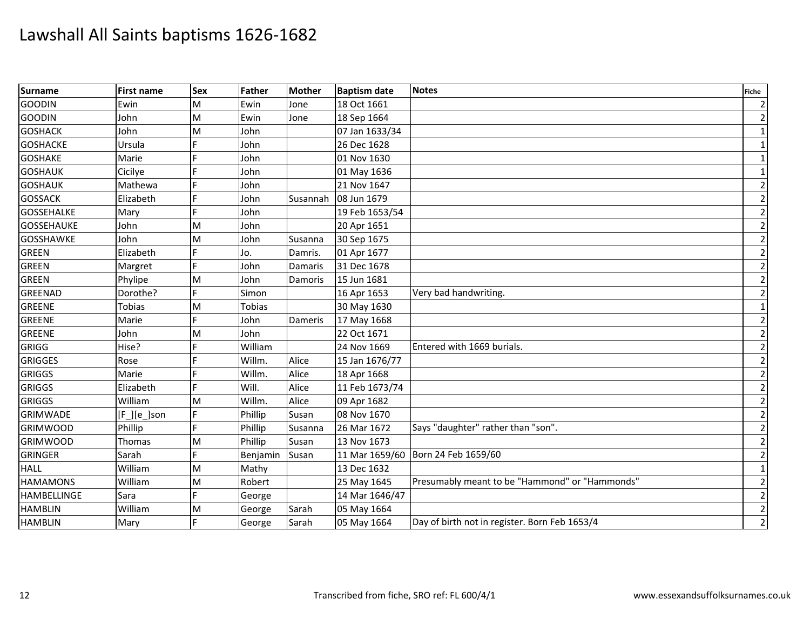| <b>Surname</b>     | <b>First name</b> | <b>Sex</b> | Father   | <b>Mother</b> | <b>Baptism date</b> | <b>Notes</b>                                   | <b>Fiche</b>   |
|--------------------|-------------------|------------|----------|---------------|---------------------|------------------------------------------------|----------------|
| <b>GOODIN</b>      | Ewin              | M          | Ewin     | Jone          | 18 Oct 1661         |                                                | $\overline{2}$ |
| <b>GOODIN</b>      | John              | M          | Ewin     | Jone          | 18 Sep 1664         |                                                | $\overline{2}$ |
| <b>GOSHACK</b>     | John              | M          | John     |               | 07 Jan 1633/34      |                                                | $\mathbf{1}$   |
| <b>GOSHACKE</b>    | Ursula            | E          | John     |               | 26 Dec 1628         |                                                | $\mathbf{1}$   |
| <b>GOSHAKE</b>     | Marie             |            | John     |               | 01 Nov 1630         |                                                | 1              |
| <b>GOSHAUK</b>     | Cicilye           |            | John     |               | 01 May 1636         |                                                | $\mathbf{1}$   |
| <b>GOSHAUK</b>     | Mathewa           |            | John     |               | 21 Nov 1647         |                                                | $\overline{2}$ |
| <b>GOSSACK</b>     | Elizabeth         | Е          | John     | Susannah      | 08 Jun 1679         |                                                | $\overline{2}$ |
| <b>GOSSEHALKE</b>  | Mary              |            | John     |               | 19 Feb 1653/54      |                                                | $\overline{2}$ |
| <b>GOSSEHAUKE</b>  | John              | M          | John     |               | 20 Apr 1651         |                                                | $\overline{2}$ |
| <b>GOSSHAWKE</b>   | John              | M          | John     | Susanna       | 30 Sep 1675         |                                                | $\overline{2}$ |
| <b>GREEN</b>       | Elizabeth         | F          | Jo.      | Damris.       | 01 Apr 1677         |                                                | $\mathbf 2$    |
| <b>GREEN</b>       | Margret           |            | John     | Damaris       | 31 Dec 1678         |                                                | $\overline{2}$ |
| <b>GREEN</b>       | Phylipe           | ΙM         | John     | Damoris       | 15 Jun 1681         |                                                | $\overline{2}$ |
| <b>GREENAD</b>     | Dorothe?          |            | Simon    |               | 16 Apr 1653         | Very bad handwriting.                          | $\overline{2}$ |
| <b>GREENE</b>      | <b>Tobias</b>     | M          | Tobias   |               | 30 May 1630         |                                                | $\mathbf{1}$   |
| <b>GREENE</b>      | Marie             |            | John     | Dameris       | 17 May 1668         |                                                | $\overline{2}$ |
| <b>GREENE</b>      | John              | M          | John     |               | 22 Oct 1671         |                                                | $\overline{2}$ |
| GRIGG              | Hise?             |            | William  |               | 24 Nov 1669         | Entered with 1669 burials.                     | $\overline{2}$ |
| <b>GRIGGES</b>     | Rose              |            | Willm.   | Alice         | 15 Jan 1676/77      |                                                | $\overline{2}$ |
| <b>GRIGGS</b>      | Marie             |            | Willm.   | Alice         | 18 Apr 1668         |                                                | $\overline{2}$ |
| <b>GRIGGS</b>      | Elizabeth         | E          | Will.    | Alice         | 11 Feb 1673/74      |                                                | $\overline{2}$ |
| <b>GRIGGS</b>      | William           | M          | Willm.   | Alice         | 09 Apr 1682         |                                                | $\overline{2}$ |
| <b>GRIMWADE</b>    | $[F_.][e_.]$ son  |            | Phillip  | Susan         | 08 Nov 1670         |                                                | $\overline{2}$ |
| <b>GRIMWOOD</b>    | Phillip           | F          | Phillip  | Susanna       | 26 Mar 1672         | Says "daughter" rather than "son".             | $\overline{c}$ |
| <b>GRIMWOOD</b>    | Thomas            | M          | Phillip  | Susan         | 13 Nov 1673         |                                                | $\overline{2}$ |
| <b>GRINGER</b>     | Sarah             |            | Benjamin | Susan         |                     | 11 Mar 1659/60 Born 24 Feb 1659/60             | $\overline{2}$ |
| <b>HALL</b>        | William           | M          | Mathy    |               | 13 Dec 1632         |                                                | 1              |
| <b>HAMAMONS</b>    | William           | M          | Robert   |               | 25 May 1645         | Presumably meant to be "Hammond" or "Hammonds" | $\overline{c}$ |
| <b>HAMBELLINGE</b> | Sara              | E.         | George   |               | 14 Mar 1646/47      |                                                | $\overline{2}$ |
| <b>HAMBLIN</b>     | William           | M          | George   | Sarah         | 05 May 1664         |                                                | $\overline{2}$ |
| <b>HAMBLIN</b>     | Mary              | F          | George   | Sarah         | 05 May 1664         | Day of birth not in register. Born Feb 1653/4  | $\overline{2}$ |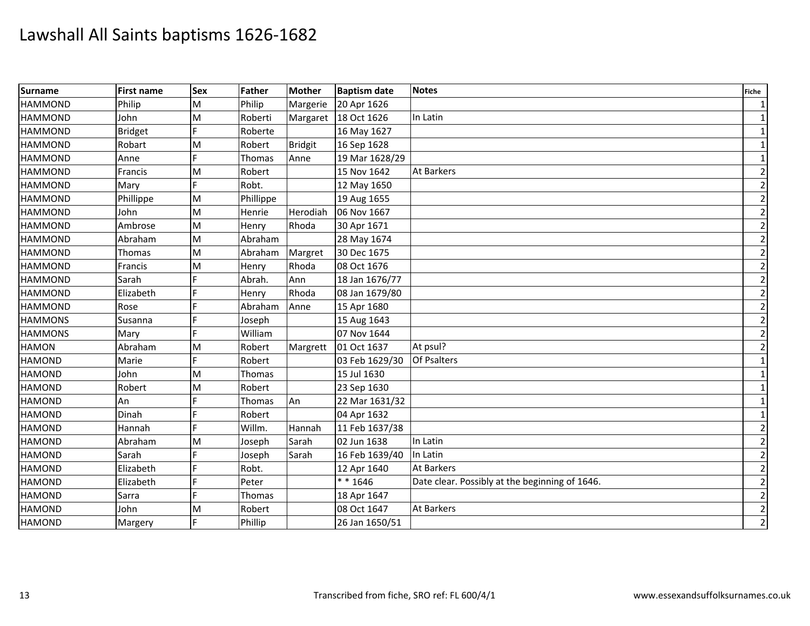| <b>Surname</b> | <b>First name</b> | <b>Sex</b> | Father    | <b>Mother</b>  | <b>Baptism date</b> | <b>Notes</b>                                   | Fiche          |
|----------------|-------------------|------------|-----------|----------------|---------------------|------------------------------------------------|----------------|
| <b>HAMMOND</b> | Philip            | M          | Philip    | Margerie       | 20 Apr 1626         |                                                | $\mathbf{1}$   |
| <b>HAMMOND</b> | John              | M          | Roberti   | Margaret       | 18 Oct 1626         | In Latin                                       |                |
| <b>HAMMOND</b> | <b>Bridget</b>    |            | Roberte   |                | 16 May 1627         |                                                | 1              |
| <b>HAMMOND</b> | Robart            | M          | Robert    | <b>Bridgit</b> | 16 Sep 1628         |                                                | $\mathbf{1}$   |
| <b>HAMMOND</b> | Anne              | E.         | Thomas    | Anne           | 19 Mar 1628/29      |                                                | 1              |
| <b>HAMMOND</b> | Francis           | M          | Robert    |                | 15 Nov 1642         | <b>At Barkers</b>                              | $\overline{2}$ |
| <b>HAMMOND</b> | Mary              |            | Robt.     |                | 12 May 1650         |                                                | $\overline{2}$ |
| <b>HAMMOND</b> | Phillippe         | M          | Phillippe |                | 19 Aug 1655         |                                                | $\overline{2}$ |
| <b>HAMMOND</b> | John              | M          | Henrie    | Herodiah       | 06 Nov 1667         |                                                | $\overline{2}$ |
| <b>HAMMOND</b> | Ambrose           | M          | Henry     | Rhoda          | 30 Apr 1671         |                                                | $\overline{2}$ |
| <b>HAMMOND</b> | Abraham           | M          | Abraham   |                | 28 May 1674         |                                                | $\overline{2}$ |
| <b>HAMMOND</b> | <b>Thomas</b>     | M          | Abraham   | Margret        | 30 Dec 1675         |                                                | $\overline{2}$ |
| <b>HAMMOND</b> | Francis           | M          | Henry     | Rhoda          | 08 Oct 1676         |                                                | $\overline{2}$ |
| <b>HAMMOND</b> | Sarah             |            | Abrah.    | Ann            | 18 Jan 1676/77      |                                                | $\overline{2}$ |
| <b>HAMMOND</b> | Elizabeth         |            | Henry     | Rhoda          | 08 Jan 1679/80      |                                                | $\overline{2}$ |
| <b>HAMMOND</b> | Rose              |            | Abraham   | Anne           | 15 Apr 1680         |                                                | $\overline{2}$ |
| <b>HAMMONS</b> | Susanna           |            | Joseph    |                | 15 Aug 1643         |                                                | $\overline{2}$ |
| <b>HAMMONS</b> | Mary              |            | William   |                | 07 Nov 1644         |                                                | $\overline{2}$ |
| <b>HAMON</b>   | Abraham           | M          | Robert    | Margrett       | 01 Oct 1637         | At psul?                                       | $\overline{2}$ |
| <b>HAMOND</b>  | Marie             |            | Robert    |                | 03 Feb 1629/30      | Of Psalters                                    | $\mathbf{1}$   |
| <b>HAMOND</b>  | John              | M          | Thomas    |                | 15 Jul 1630         |                                                | $\mathbf{1}$   |
| <b>HAMOND</b>  | Robert            | M          | Robert    |                | 23 Sep 1630         |                                                | $\mathbf{1}$   |
| <b>HAMOND</b>  | An                |            | Thomas    | An             | 22 Mar 1631/32      |                                                | $\mathbf{1}$   |
| <b>HAMOND</b>  | Dinah             |            | Robert    |                | 04 Apr 1632         |                                                | 1              |
| <b>HAMOND</b>  | Hannah            |            | Willm.    | Hannah         | 11 Feb 1637/38      |                                                | $\overline{2}$ |
| <b>HAMOND</b>  | Abraham           | M          | Joseph    | Sarah          | 02 Jun 1638         | In Latin                                       | $\overline{2}$ |
| <b>HAMOND</b>  | Sarah             |            | Joseph    | Sarah          | 16 Feb 1639/40      | In Latin                                       | $\overline{2}$ |
| <b>HAMOND</b>  | Elizabeth         |            | Robt.     |                | 12 Apr 1640         | <b>At Barkers</b>                              | $\overline{2}$ |
| <b>HAMOND</b>  | Elizabeth         |            | Peter     |                | $* * 1646$          | Date clear. Possibly at the beginning of 1646. | $\overline{2}$ |
| <b>HAMOND</b>  | Sarra             |            | Thomas    |                | 18 Apr 1647         |                                                | $\overline{2}$ |
| <b>HAMOND</b>  | John              | M          | Robert    |                | 08 Oct 1647         | <b>At Barkers</b>                              | $\overline{2}$ |
| <b>HAMOND</b>  | Margery           | F          | Phillip   |                | 26 Jan 1650/51      |                                                | $\overline{2}$ |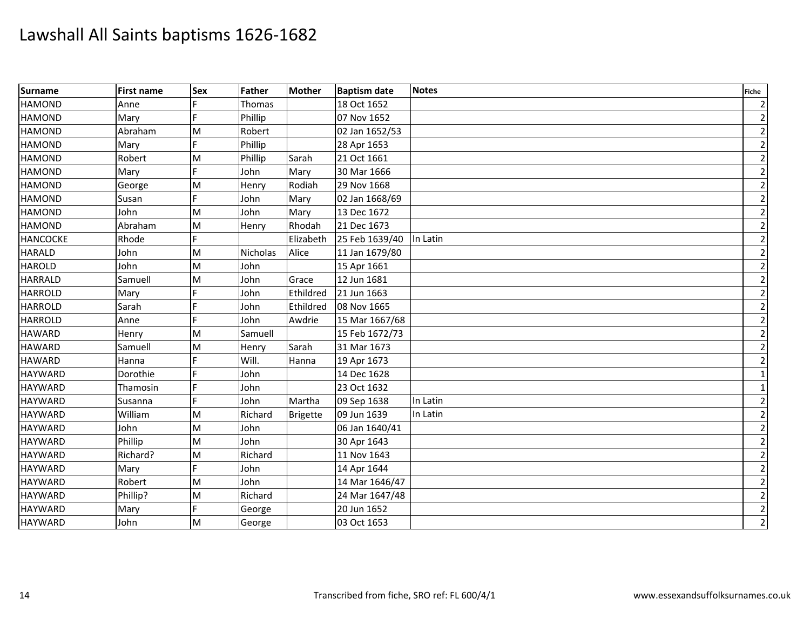| <b>Surname</b>  | <b>First name</b> | <b>Sex</b> | Father   | <b>Mother</b>   | <b>Baptism date</b> | <b>Notes</b> | <b>Fiche</b>   |
|-----------------|-------------------|------------|----------|-----------------|---------------------|--------------|----------------|
| <b>HAMOND</b>   | Anne              |            | Thomas   |                 | 18 Oct 1652         |              | $\overline{2}$ |
| <b>HAMOND</b>   | Mary              |            | Phillip  |                 | 07 Nov 1652         |              | $\overline{2}$ |
| <b>HAMOND</b>   | Abraham           | M          | Robert   |                 | 02 Jan 1652/53      |              | $\overline{2}$ |
| <b>HAMOND</b>   | Mary              | F          | Phillip  |                 | 28 Apr 1653         |              | $\overline{2}$ |
| <b>HAMOND</b>   | Robert            | M          | Phillip  | Sarah           | 21 Oct 1661         |              | $\overline{2}$ |
| <b>HAMOND</b>   | Mary              | F          | John     | Mary            | 30 Mar 1666         |              | $\overline{2}$ |
| <b>HAMOND</b>   | George            | M          | Henry    | Rodiah          | 29 Nov 1668         |              | $\overline{2}$ |
| <b>HAMOND</b>   | Susan             |            | John     | Mary            | 02 Jan 1668/69      |              | $\overline{2}$ |
| <b>HAMOND</b>   | John              | M          | John     | Mary            | 13 Dec 1672         |              | $\overline{c}$ |
| <b>HAMOND</b>   | Abraham           | M          | Henry    | Rhodah          | 21 Dec 1673         |              | $\overline{2}$ |
| <b>HANCOCKE</b> | Rhode             |            |          | Elizabeth       | 25 Feb 1639/40      | In Latin     | $\overline{2}$ |
| <b>HARALD</b>   | John              | M          | Nicholas | Alice           | 11 Jan 1679/80      |              | $\overline{2}$ |
| <b>HAROLD</b>   | John              | M          | John     |                 | 15 Apr 1661         |              | $\overline{2}$ |
| <b>HARRALD</b>  | Samuell           | M          | John     | Grace           | 12 Jun 1681         |              | $\overline{2}$ |
| <b>HARROLD</b>  | Mary              |            | John     | Ethildred       | 21 Jun 1663         |              | $\overline{2}$ |
| <b>HARROLD</b>  | Sarah             |            | John     | Ethildred       | 08 Nov 1665         |              | $\overline{2}$ |
| <b>HARROLD</b>  | Anne              | F          | John     | Awdrie          | 15 Mar 1667/68      |              | $\overline{2}$ |
| <b>HAWARD</b>   | Henry             | M          | Samuell  |                 | 15 Feb 1672/73      |              | $\overline{2}$ |
| <b>HAWARD</b>   | Samuell           | M          | Henry    | Sarah           | 31 Mar 1673         |              | $\overline{2}$ |
| <b>HAWARD</b>   | Hanna             |            | Will.    | Hanna           | 19 Apr 1673         |              | $\overline{2}$ |
| <b>HAYWARD</b>  | Dorothie          |            | John     |                 | 14 Dec 1628         |              | $\mathbf{1}$   |
| <b>HAYWARD</b>  | Thamosin          | F          | John     |                 | 23 Oct 1632         |              | $\mathbf{1}$   |
| <b>HAYWARD</b>  | Susanna           | E          | John     | Martha          | 09 Sep 1638         | In Latin     | $\overline{2}$ |
| <b>HAYWARD</b>  | William           | M          | Richard  | <b>Brigette</b> | 09 Jun 1639         | In Latin     | $\overline{2}$ |
| <b>HAYWARD</b>  | John              | M          | John     |                 | 06 Jan 1640/41      |              | $\overline{2}$ |
| <b>HAYWARD</b>  | Phillip           | M          | John     |                 | 30 Apr 1643         |              | $\overline{2}$ |
| <b>HAYWARD</b>  | Richard?          | M          | Richard  |                 | 11 Nov 1643         |              | $\overline{2}$ |
| <b>HAYWARD</b>  | Mary              | F          | John     |                 | 14 Apr 1644         |              | $\overline{2}$ |
| <b>HAYWARD</b>  | Robert            | M          | John     |                 | 14 Mar 1646/47      |              | $\overline{2}$ |
| <b>HAYWARD</b>  | Phillip?          | M          | Richard  |                 | 24 Mar 1647/48      |              | $\mathbf 2$    |
| <b>HAYWARD</b>  | Mary              |            | George   |                 | 20 Jun 1652         |              | $\overline{2}$ |
| <b>HAYWARD</b>  | John              | M          | George   |                 | 03 Oct 1653         |              | $\overline{2}$ |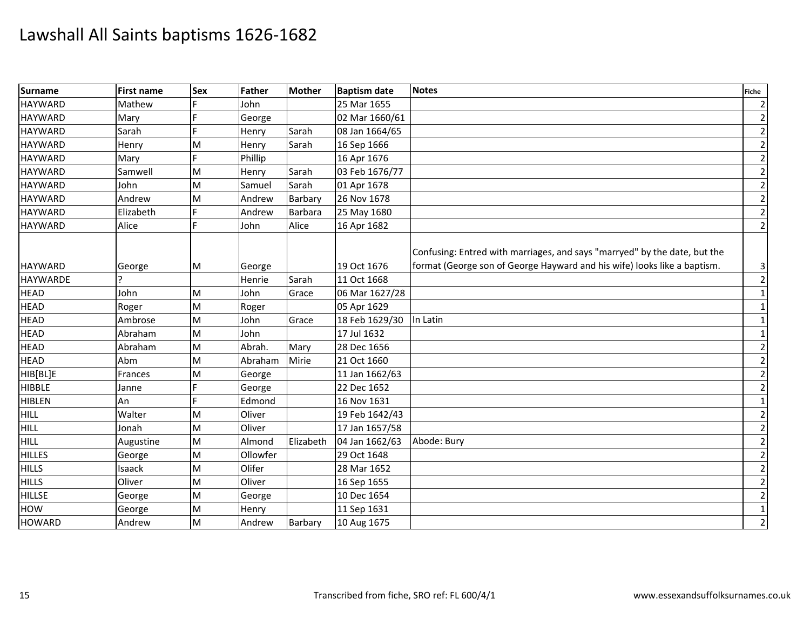| <b>Surname</b>  | <b>First name</b> | <b>Sex</b> | Father   | <b>Mother</b>  | <b>Baptism date</b> | <b>Notes</b>                                                                                                                                          | <b>Fiche</b>            |
|-----------------|-------------------|------------|----------|----------------|---------------------|-------------------------------------------------------------------------------------------------------------------------------------------------------|-------------------------|
| <b>HAYWARD</b>  | Mathew            |            | John     |                | 25 Mar 1655         |                                                                                                                                                       | $\overline{2}$          |
| <b>HAYWARD</b>  | Mary              |            | George   |                | 02 Mar 1660/61      |                                                                                                                                                       | $\overline{2}$          |
| <b>HAYWARD</b>  | Sarah             |            | Henry    | Sarah          | 08 Jan 1664/65      |                                                                                                                                                       | $\overline{2}$          |
| <b>HAYWARD</b>  | Henry             | M          | Henry    | Sarah          | 16 Sep 1666         |                                                                                                                                                       | $\mathbf{2}$            |
| <b>HAYWARD</b>  | Mary              | E          | Phillip  |                | 16 Apr 1676         |                                                                                                                                                       | $\overline{2}$          |
| <b>HAYWARD</b>  | Samwell           | M          | Henry    | Sarah          | 03 Feb 1676/77      |                                                                                                                                                       | $\mathbf{2}$            |
| <b>HAYWARD</b>  | John              | M          | Samuel   | Sarah          | 01 Apr 1678         |                                                                                                                                                       | $\overline{2}$          |
| <b>HAYWARD</b>  | Andrew            | M          | Andrew   | Barbary        | 26 Nov 1678         |                                                                                                                                                       | $\overline{2}$          |
| <b>HAYWARD</b>  | Elizabeth         | E          | Andrew   | <b>Barbara</b> | 25 May 1680         |                                                                                                                                                       | $\overline{2}$          |
| <b>HAYWARD</b>  | Alice             | E          | John     | Alice          | 16 Apr 1682         |                                                                                                                                                       | $\overline{2}$          |
| <b>HAYWARD</b>  | George            | M          | George   |                | 19 Oct 1676         | Confusing: Entred with marriages, and says "marryed" by the date, but the<br>format (George son of George Hayward and his wife) looks like a baptism. | $\overline{\mathbf{3}}$ |
| <b>HAYWARDE</b> |                   |            | Henrie   | Sarah          | 11 Oct 1668         |                                                                                                                                                       | $\overline{2}$          |
| <b>HEAD</b>     | John              | M          | John     | Grace          | 06 Mar 1627/28      |                                                                                                                                                       | $1\vert$                |
| <b>HEAD</b>     | Roger             | M          | Roger    |                | 05 Apr 1629         |                                                                                                                                                       | $1\vert$                |
| <b>HEAD</b>     | Ambrose           | M          | John     | Grace          | 18 Feb 1629/30      | In Latin                                                                                                                                              | $1\vert$                |
| <b>HEAD</b>     | Abraham           | M          | John     |                | 17 Jul 1632         |                                                                                                                                                       | $1\vert$                |
| <b>HEAD</b>     | Abraham           | M          | Abrah.   | Mary           | 28 Dec 1656         |                                                                                                                                                       | $\overline{2}$          |
| <b>HEAD</b>     | Abm               | M          | Abraham  | Mirie          | 21 Oct 1660         |                                                                                                                                                       | $\overline{2}$          |
| HIB[BL]E        | Frances           | M          | George   |                | 11 Jan 1662/63      |                                                                                                                                                       | $\overline{2}$          |
| <b>HIBBLE</b>   | Janne             |            | George   |                | 22 Dec 1652         |                                                                                                                                                       | $\overline{2}$          |
| <b>HIBLEN</b>   | An                | E          | Edmond   |                | 16 Nov 1631         |                                                                                                                                                       | $1\vert$                |
| <b>F</b> HILL   | Walter            | M          | Oliver   |                | 19 Feb 1642/43      |                                                                                                                                                       | $\overline{2}$          |
| <b>HILL</b>     | Jonah             | M          | Oliver   |                | 17 Jan 1657/58      |                                                                                                                                                       | $\overline{2}$          |
| <b>HILL</b>     | Augustine         | M          | Almond   | Elizabeth      | 04 Jan 1662/63      | Abode: Bury                                                                                                                                           | $\overline{2}$          |
| <b>HILLES</b>   | George            | M          | Ollowfer |                | 29 Oct 1648         |                                                                                                                                                       | $\overline{2}$          |
| <b>HILLS</b>    | Isaack            | M          | Olifer   |                | 28 Mar 1652         |                                                                                                                                                       | $\overline{2}$          |
| <b>HILLS</b>    | Oliver            | M          | Oliver   |                | 16 Sep 1655         |                                                                                                                                                       | $\overline{2}$          |
| <b>HILLSE</b>   | George            | M          | George   |                | 10 Dec 1654         |                                                                                                                                                       | $\mathbf{2}$            |
| <b>HOW</b>      | George            | M          | Henry    |                | 11 Sep 1631         |                                                                                                                                                       | $1\vert$                |
| <b>HOWARD</b>   | Andrew            | M          | Andrew   | Barbary        | 10 Aug 1675         |                                                                                                                                                       | $\overline{2}$          |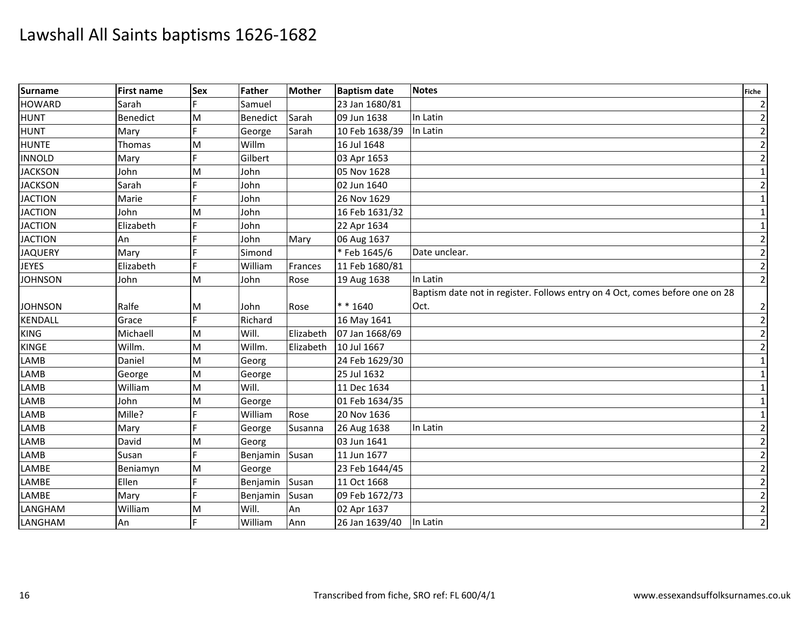| <b>Surname</b> | <b>First name</b> | <b>Sex</b> | Father   | <b>Mother</b> | <b>Baptism date</b> | <b>Notes</b>                                                                 | <b>Fiche</b>   |
|----------------|-------------------|------------|----------|---------------|---------------------|------------------------------------------------------------------------------|----------------|
| <b>HOWARD</b>  | Sarah             |            | Samuel   |               | 23 Jan 1680/81      |                                                                              | $\overline{2}$ |
| <b>HUNT</b>    | <b>Benedict</b>   | M          | Benedict | Sarah         | 09 Jun 1638         | In Latin                                                                     | $\overline{2}$ |
| <b>HUNT</b>    | Mary              |            | George   | Sarah         | 10 Feb 1638/39      | In Latin                                                                     | $\overline{2}$ |
| <b>HUNTE</b>   | Thomas            | M          | Willm    |               | 16 Jul 1648         |                                                                              | $\mathbf{2}$   |
| <b>INNOLD</b>  | Mary              | E          | Gilbert  |               | 03 Apr 1653         |                                                                              | $\overline{2}$ |
| <b>JACKSON</b> | John              | M          | John     |               | 05 Nov 1628         |                                                                              | $1\vert$       |
| <b>JACKSON</b> | Sarah             |            | John     |               | 02 Jun 1640         |                                                                              | $\overline{2}$ |
| <b>JACTION</b> | Marie             |            | John     |               | 26 Nov 1629         |                                                                              | $1\vert$       |
| <b>JACTION</b> | John              | M          | John     |               | 16 Feb 1631/32      |                                                                              | $\mathbf{1}$   |
| <b>JACTION</b> | Elizabeth         |            | John     |               | 22 Apr 1634         |                                                                              | $\mathbf{1}$   |
| <b>JACTION</b> | An                |            | John     | Mary          | 06 Aug 1637         |                                                                              | $\overline{2}$ |
| <b>JAQUERY</b> | Mary              |            | Simond   |               | * Feb 1645/6        | Date unclear.                                                                | $\overline{2}$ |
| <b>JEYES</b>   | Elizabeth         | F          | William  | Frances       | 11 Feb 1680/81      |                                                                              | $\overline{2}$ |
| <b>JOHNSON</b> | John              | M          | John     | Rose          | 19 Aug 1638         | In Latin                                                                     | $\overline{2}$ |
|                |                   |            |          |               |                     | Baptism date not in register. Follows entry on 4 Oct, comes before one on 28 |                |
| <b>JOHNSON</b> | Ralfe             | M          | John     | Rose          | $* * 1640$          | Oct.                                                                         | $\overline{2}$ |
| <b>KENDALL</b> | Grace             | F.         | Richard  |               | 16 May 1641         |                                                                              | $\overline{2}$ |
| <b>KING</b>    | Michaell          | M          | Will.    | Elizabeth     | 07 Jan 1668/69      |                                                                              | $\overline{2}$ |
| KINGE          | Willm.            | M          | Willm.   | Elizabeth     | 10 Jul 1667         |                                                                              | $\overline{2}$ |
| <b>LAMB</b>    | Daniel            | M          | Georg    |               | 24 Feb 1629/30      |                                                                              | $1\vert$       |
| LAMB           | George            | M          | George   |               | 25 Jul 1632         |                                                                              | $\mathbf{1}$   |
| LAMB           | William           | M          | Will.    |               | 11 Dec 1634         |                                                                              | $1\vert$       |
| LAMB           | John              | M          | George   |               | 01 Feb 1634/35      |                                                                              | 1              |
| LAMB           | Mille?            |            | William  | Rose          | 20 Nov 1636         |                                                                              | $1\vert$       |
| <b>LAMB</b>    | Mary              |            | George   | Susanna       | 26 Aug 1638         | In Latin                                                                     | $\overline{2}$ |
| <b>LAMB</b>    | David             | M          | Georg    |               | 03 Jun 1641         |                                                                              | $\overline{2}$ |
| LAMB           | Susan             | E          | Benjamin | Susan         | 11 Jun 1677         |                                                                              | $\overline{2}$ |
| LAMBE          | Beniamyn          | M          | George   |               | 23 Feb 1644/45      |                                                                              | $\overline{2}$ |
| LAMBE          | Ellen             |            | Benjamin | Susan         | 11 Oct 1668         |                                                                              | $\overline{2}$ |
| LAMBE          | Mary              | F          | Benjamin | Susan         | 09 Feb 1672/73      |                                                                              | $\mathbf{2}$   |
| LANGHAM        | William           | M          | Will.    | An            | 02 Apr 1637         |                                                                              | $\overline{2}$ |
| LANGHAM        | An                |            | William  | Ann           | 26 Jan 1639/40      | In Latin                                                                     | $\overline{2}$ |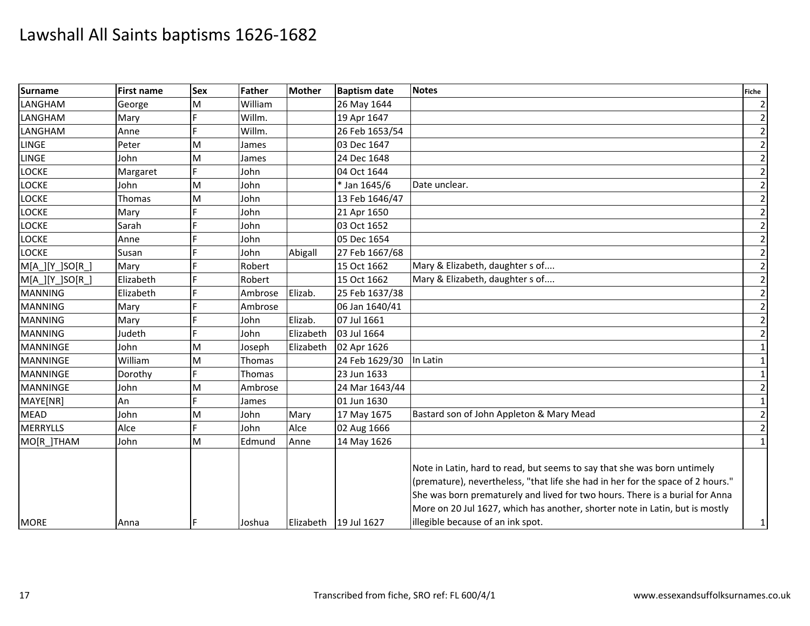| LANGHAM<br>LANGHAM<br><b>LANGHAM</b><br><b>LINGE</b><br><b>LOCKE</b><br><b>LOCKE</b><br><b>LOCKE</b> | George<br>Mary<br>Anne<br>Peter<br>John<br>Margaret<br>John<br>Thomas<br>Mary | M<br>M<br>M<br>M<br>M | William<br>Willm.<br>Willm.<br>James<br>James<br>John |           | 26 May 1644<br>19 Apr 1647<br>26 Feb 1653/54<br>03 Dec 1647 |                                                                                                                                                                                                                                                                                                                                                                  | $\overline{2}$<br>$\overline{2}$<br>$\overline{2}$ |
|------------------------------------------------------------------------------------------------------|-------------------------------------------------------------------------------|-----------------------|-------------------------------------------------------|-----------|-------------------------------------------------------------|------------------------------------------------------------------------------------------------------------------------------------------------------------------------------------------------------------------------------------------------------------------------------------------------------------------------------------------------------------------|----------------------------------------------------|
|                                                                                                      |                                                                               |                       |                                                       |           |                                                             |                                                                                                                                                                                                                                                                                                                                                                  |                                                    |
| <b>LINGE</b>                                                                                         |                                                                               |                       |                                                       |           |                                                             |                                                                                                                                                                                                                                                                                                                                                                  |                                                    |
|                                                                                                      |                                                                               |                       |                                                       |           |                                                             |                                                                                                                                                                                                                                                                                                                                                                  |                                                    |
|                                                                                                      |                                                                               |                       |                                                       |           |                                                             |                                                                                                                                                                                                                                                                                                                                                                  | $\overline{2}$                                     |
|                                                                                                      |                                                                               |                       |                                                       |           | 24 Dec 1648                                                 |                                                                                                                                                                                                                                                                                                                                                                  | $\overline{2}$                                     |
|                                                                                                      |                                                                               |                       |                                                       |           | 04 Oct 1644                                                 |                                                                                                                                                                                                                                                                                                                                                                  | $\overline{2}$                                     |
|                                                                                                      |                                                                               |                       | John                                                  |           | * Jan 1645/6                                                | Date unclear.                                                                                                                                                                                                                                                                                                                                                    | $\overline{2}$                                     |
|                                                                                                      |                                                                               |                       | John                                                  |           | 13 Feb 1646/47                                              |                                                                                                                                                                                                                                                                                                                                                                  | $\overline{2}$                                     |
| <b>LOCKE</b>                                                                                         |                                                                               |                       | John                                                  |           | 21 Apr 1650                                                 |                                                                                                                                                                                                                                                                                                                                                                  | $\overline{2}$                                     |
| <b>LOCKE</b>                                                                                         | Sarah                                                                         |                       | John                                                  |           | 03 Oct 1652                                                 |                                                                                                                                                                                                                                                                                                                                                                  | $\overline{2}$                                     |
| <b>LOCKE</b>                                                                                         | Anne                                                                          |                       | John                                                  |           | 05 Dec 1654                                                 |                                                                                                                                                                                                                                                                                                                                                                  | $\overline{2}$                                     |
| <b>LOCKE</b>                                                                                         | Susan                                                                         | E                     | John                                                  | Abigall   | 27 Feb 1667/68                                              |                                                                                                                                                                                                                                                                                                                                                                  | $\overline{2}$                                     |
| M[A_][Y_]SO[R_]                                                                                      | Mary                                                                          |                       | Robert                                                |           | 15 Oct 1662                                                 | Mary & Elizabeth, daughter s of                                                                                                                                                                                                                                                                                                                                  | $\overline{2}$                                     |
| M[A_][Y_]SO[R_]                                                                                      | Elizabeth                                                                     |                       | Robert                                                |           | 15 Oct 1662                                                 | Mary & Elizabeth, daughter s of                                                                                                                                                                                                                                                                                                                                  | $\overline{2}$                                     |
| <b>MANNING</b>                                                                                       | Elizabeth                                                                     |                       | Ambrose                                               | Elizab.   | 25 Feb 1637/38                                              |                                                                                                                                                                                                                                                                                                                                                                  | $\overline{2}$                                     |
| <b>MANNING</b>                                                                                       | Mary                                                                          |                       | Ambrose                                               |           | 06 Jan 1640/41                                              |                                                                                                                                                                                                                                                                                                                                                                  | $\overline{2}$                                     |
| <b>MANNING</b>                                                                                       | Mary                                                                          |                       | John                                                  | Elizab.   | 07 Jul 1661                                                 |                                                                                                                                                                                                                                                                                                                                                                  | $\overline{2}$                                     |
| <b>MANNING</b>                                                                                       | Judeth                                                                        |                       | John                                                  | Elizabeth | 03 Jul 1664                                                 |                                                                                                                                                                                                                                                                                                                                                                  | $\overline{2}$                                     |
| <b>MANNINGE</b>                                                                                      | John                                                                          | M                     | Joseph                                                | Elizabeth | 02 Apr 1626                                                 |                                                                                                                                                                                                                                                                                                                                                                  | $\mathbf{1}$                                       |
| <b>MANNINGE</b>                                                                                      | William                                                                       | M                     | Thomas                                                |           | 24 Feb 1629/30                                              | In Latin                                                                                                                                                                                                                                                                                                                                                         | 1                                                  |
| <b>MANNINGE</b>                                                                                      | Dorothy                                                                       | E                     | Thomas                                                |           | 23 Jun 1633                                                 |                                                                                                                                                                                                                                                                                                                                                                  | $\mathbf{1}$                                       |
| <b>MANNINGE</b>                                                                                      | John                                                                          | M                     | Ambrose                                               |           | 24 Mar 1643/44                                              |                                                                                                                                                                                                                                                                                                                                                                  | $\overline{2}$                                     |
| MAYE[NR]<br>An                                                                                       |                                                                               |                       | James                                                 |           | 01 Jun 1630                                                 |                                                                                                                                                                                                                                                                                                                                                                  | $\mathbf{1}$                                       |
| <b>MEAD</b><br>John                                                                                  |                                                                               | M                     | John                                                  | Mary      | 17 May 1675                                                 | Bastard son of John Appleton & Mary Mead                                                                                                                                                                                                                                                                                                                         | $\overline{c}$                                     |
| MERRYLLS<br>Alce                                                                                     |                                                                               | E                     | John                                                  | Alce      | 02 Aug 1666                                                 |                                                                                                                                                                                                                                                                                                                                                                  | $\overline{2}$                                     |
| MO[R ]THAM<br>John                                                                                   |                                                                               | M                     | Edmund                                                | Anne      | 14 May 1626                                                 |                                                                                                                                                                                                                                                                                                                                                                  | $\mathbf{1}$                                       |
| <b>MORE</b>                                                                                          | Anna                                                                          |                       | Joshua                                                |           | Elizabeth   19 Jul 1627                                     | Note in Latin, hard to read, but seems to say that she was born untimely<br>(premature), nevertheless, "that life she had in her for the space of 2 hours."<br>She was born prematurely and lived for two hours. There is a burial for Anna<br>More on 20 Jul 1627, which has another, shorter note in Latin, but is mostly<br>illegible because of an ink spot. | $1\vert$                                           |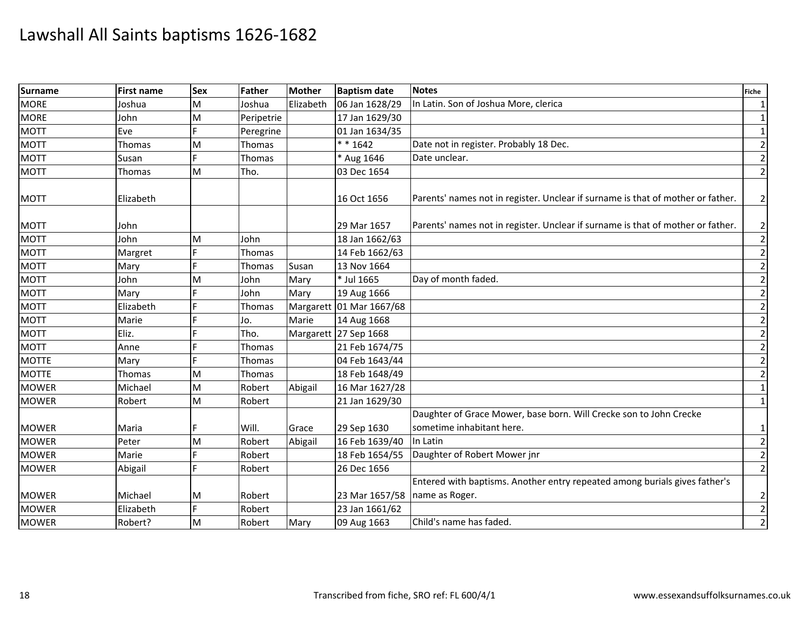| <b>Surname</b> | <b>First name</b> | <b>Sex</b> | Father        | Mother    | <b>Baptism date</b>      | <b>Notes</b>                                                                                 | <b>Fiche</b>    |
|----------------|-------------------|------------|---------------|-----------|--------------------------|----------------------------------------------------------------------------------------------|-----------------|
| <b>MORE</b>    | Joshua            | M          | Joshua        | Elizabeth | 06 Jan 1628/29           | In Latin. Son of Joshua More, clerica                                                        | $\mathbf{1}$    |
| <b>MORE</b>    | John              | M          | Peripetrie    |           | 17 Jan 1629/30           |                                                                                              | $\mathbf{1}$    |
| <b>MOTT</b>    | Eve               |            | Peregrine     |           | 01 Jan 1634/35           |                                                                                              | $\mathbf{1}$    |
| <b>MOTT</b>    | <b>Thomas</b>     | M          | Thomas        |           | $* * 1642$               | Date not in register. Probably 18 Dec.                                                       | $\overline{2}$  |
| <b>MOTT</b>    | Susan             | E          | Thomas        |           | * Aug 1646               | Date unclear.                                                                                | $\mathbf 2$     |
| <b>MOTT</b>    | Thomas            | M          | Tho.          |           | 03 Dec 1654              |                                                                                              | $\overline{2}$  |
| <b>MOTT</b>    | Elizabeth         |            |               |           | 16 Oct 1656              | Parents' names not in register. Unclear if surname is that of mother or father.              | $\overline{2}$  |
| <b>MOTT</b>    | John              |            |               |           | 29 Mar 1657              | Parents' names not in register. Unclear if surname is that of mother or father.              | 2               |
| <b>MOTT</b>    | John              | M          | John          |           | 18 Jan 1662/63           |                                                                                              | $\overline{2}$  |
| <b>MOTT</b>    | Margret           |            | Thomas        |           | 14 Feb 1662/63           |                                                                                              | $\overline{2}$  |
| <b>MOTT</b>    | Mary              | E          | Thomas        | Susan     | 13 Nov 1664              |                                                                                              | $\overline{2}$  |
| <b>MOTT</b>    | John              | M          | John          | Mary      | * Jul 1665               | Day of month faded.                                                                          | $\overline{2}$  |
| <b>MOTT</b>    | Mary              |            | John          | Mary      | 19 Aug 1666              |                                                                                              | $\overline{2}$  |
| <b>MOTT</b>    | Elizabeth         |            | <b>Thomas</b> |           | Margarett 01 Mar 1667/68 |                                                                                              | $\overline{2}$  |
| <b>MOTT</b>    | Marie             |            | Jo.           | Marie     | 14 Aug 1668              |                                                                                              | $\mathbf 2$     |
| <b>MOTT</b>    | Eliz.             |            | Tho.          |           | Margarett 27 Sep 1668    |                                                                                              | $\overline{2}$  |
| <b>MOTT</b>    | Anne              |            | Thomas        |           | 21 Feb 1674/75           |                                                                                              | $\overline{2}$  |
| <b>MOTTE</b>   | Mary              |            | Thomas        |           | 04 Feb 1643/44           |                                                                                              | $\overline{2}$  |
| <b>MOTTE</b>   | Thomas            | M          | Thomas        |           | 18 Feb 1648/49           |                                                                                              | $\overline{2}$  |
| <b>MOWER</b>   | Michael           | M          | Robert        | Abigail   | 16 Mar 1627/28           |                                                                                              | $\mathbf{1}$    |
| <b>MOWER</b>   | Robert            | M          | Robert        |           | 21 Jan 1629/30           |                                                                                              | $1\overline{ }$ |
|                |                   |            |               |           |                          | Daughter of Grace Mower, base born. Will Crecke son to John Crecke                           |                 |
| <b>MOWER</b>   | Maria             |            | Will.         | Grace     | 29 Sep 1630              | sometime inhabitant here.                                                                    | $\mathbf{1}$    |
| <b>MOWER</b>   | Peter             | M          | Robert        | Abigail   | 16 Feb 1639/40           | In Latin                                                                                     | $\overline{2}$  |
| <b>MOWER</b>   | Marie             | È,         | Robert        |           | 18 Feb 1654/55           | Daughter of Robert Mower jnr                                                                 | $\overline{2}$  |
| <b>MOWER</b>   | Abigail           | E          | Robert        |           | 26 Dec 1656              |                                                                                              | $\overline{2}$  |
| <b>MOWER</b>   | Michael           | М          | Robert        |           | 23 Mar 1657/58           | Entered with baptisms. Another entry repeated among burials gives father's<br>name as Roger. |                 |
| <b>MOWER</b>   | Elizabeth         | E          | Robert        |           | 23 Jan 1661/62           |                                                                                              | $\frac{2}{2}$   |
| <b>MOWER</b>   | Robert?           | M          | Robert        | Mary      | 09 Aug 1663              | Child's name has faded.                                                                      | $\overline{2}$  |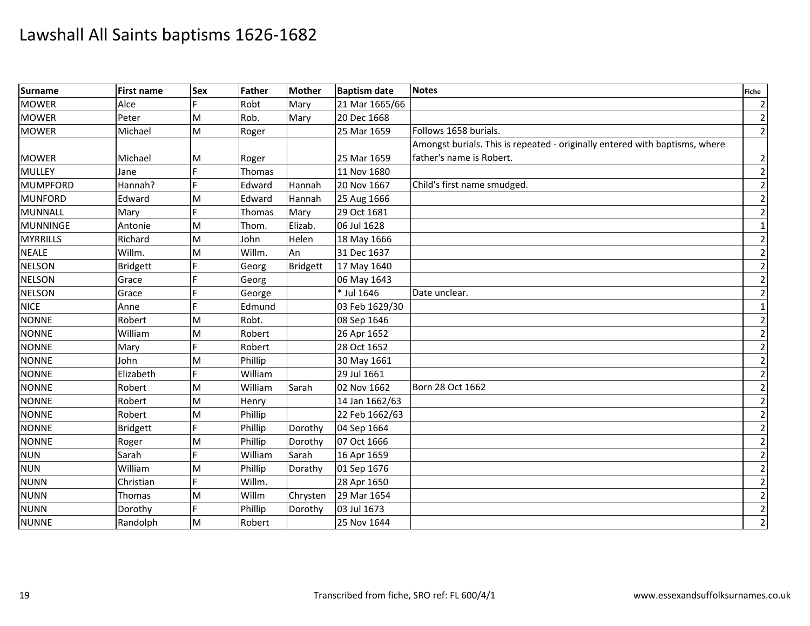| <b>Surname</b>  | <b>First name</b> | <b>Sex</b> | Father  | <b>Mother</b>   | <b>Baptism date</b> | <b>Notes</b>                                                                | Fiche          |
|-----------------|-------------------|------------|---------|-----------------|---------------------|-----------------------------------------------------------------------------|----------------|
| <b>MOWER</b>    | Alce              |            | Robt    | Mary            | 21 Mar 1665/66      |                                                                             | $\overline{2}$ |
| <b>MOWER</b>    | Peter             | M          | Rob.    | Mary            | 20 Dec 1668         |                                                                             | $\overline{2}$ |
| <b>MOWER</b>    | Michael           | M          | Roger   |                 | 25 Mar 1659         | Follows 1658 burials.                                                       | $\overline{2}$ |
|                 |                   |            |         |                 |                     | Amongst burials. This is repeated - originally entered with baptisms, where |                |
| <b>MOWER</b>    | Michael           | M          | Roger   |                 | 25 Mar 1659         | father's name is Robert.                                                    | $\mathbf{2}$   |
| <b>MULLEY</b>   | Jane              |            | Thomas  |                 | 11 Nov 1680         |                                                                             | $\overline{2}$ |
| <b>MUMPFORD</b> | Hannah?           |            | Edward  | Hannah          | 20 Nov 1667         | Child's first name smudged.                                                 | $\overline{2}$ |
| <b>MUNFORD</b>  | Edward            | M          | Edward  | Hannah          | 25 Aug 1666         |                                                                             | $\overline{2}$ |
| MUNNALL         | Mary              |            | Thomas  | Mary            | 29 Oct 1681         |                                                                             | $\overline{2}$ |
| MUNNINGE        | Antonie           | M          | Thom.   | Elizab.         | 06 Jul 1628         |                                                                             | $\mathbf{1}$   |
| <b>MYRRILLS</b> | Richard           | M          | John    | Helen           | 18 May 1666         |                                                                             | $\overline{2}$ |
| <b>NEALE</b>    | Willm.            | M          | Willm.  | An              | 31 Dec 1637         |                                                                             | $\overline{2}$ |
| <b>NELSON</b>   | <b>Bridgett</b>   |            | Georg   | <b>Bridgett</b> | 17 May 1640         |                                                                             | $\mathbf{2}$   |
| <b>NELSON</b>   | Grace             |            | Georg   |                 | 06 May 1643         |                                                                             | $\overline{2}$ |
| <b>NELSON</b>   | Grace             |            | George  |                 | * Jul 1646          | Date unclear.                                                               | $\mathbf{2}$   |
| <b>NICE</b>     | Anne              |            | Edmund  |                 | 03 Feb 1629/30      |                                                                             | $\vert$ 1      |
| <b>NONNE</b>    | Robert            | M          | Robt.   |                 | 08 Sep 1646         |                                                                             | $\overline{2}$ |
| <b>NONNE</b>    | William           | M          | Robert  |                 | 26 Apr 1652         |                                                                             | $\overline{2}$ |
| <b>NONNE</b>    | Mary              |            | Robert  |                 | 28 Oct 1652         |                                                                             | $\overline{2}$ |
| <b>NONNE</b>    | John              | M          | Phillip |                 | 30 May 1661         |                                                                             | $\overline{2}$ |
| <b>NONNE</b>    | Elizabeth         |            | William |                 | 29 Jul 1661         |                                                                             | $\overline{2}$ |
| <b>NONNE</b>    | Robert            | M          | William | Sarah           | 02 Nov 1662         | Born 28 Oct 1662                                                            | $\overline{2}$ |
| <b>NONNE</b>    | Robert            | M          | Henry   |                 | 14 Jan 1662/63      |                                                                             | $\overline{2}$ |
| <b>NONNE</b>    | Robert            | M          | Phillip |                 | 22 Feb 1662/63      |                                                                             | $\overline{2}$ |
| <b>NONNE</b>    | <b>Bridgett</b>   |            | Phillip | Dorothy         | 04 Sep 1664         |                                                                             | $\overline{2}$ |
| <b>NONNE</b>    | Roger             | M          | Phillip | Dorothy         | 07 Oct 1666         |                                                                             | $\overline{2}$ |
| <b>NUN</b>      | Sarah             | d          | William | Sarah           | 16 Apr 1659         |                                                                             | $\overline{2}$ |
| <b>NUN</b>      | William           | M          | Phillip | Dorathy         | 01 Sep 1676         |                                                                             | $\overline{2}$ |
| <b>NUNN</b>     | Christian         |            | Willm.  |                 | 28 Apr 1650         |                                                                             | $\overline{2}$ |
| <b>NUNN</b>     | Thomas            | M          | Willm   | Chrysten        | 29 Mar 1654         |                                                                             | $\mathbf{2}$   |
| <b>NUNN</b>     | Dorothy           |            | Phillip | Dorothy         | 03 Jul 1673         |                                                                             | $\overline{2}$ |
| <b>NUNNE</b>    | Randolph          | M          | Robert  |                 | 25 Nov 1644         |                                                                             | $\overline{2}$ |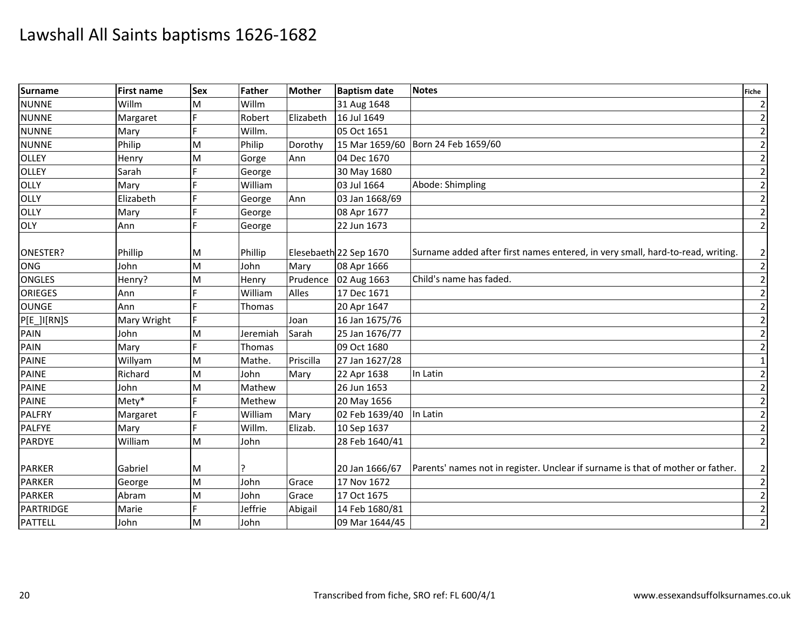| Surname        | First name  | <b>Sex</b> | <b>Father</b> | <b>Mother</b> | <b>Baptism date</b>    | <b>Notes</b>                                                                    | <b>Fiche</b>   |
|----------------|-------------|------------|---------------|---------------|------------------------|---------------------------------------------------------------------------------|----------------|
| <b>NUNNE</b>   | Willm       | M          | Willm         |               | 31 Aug 1648            |                                                                                 | $\overline{2}$ |
| <b>NUNNE</b>   | Margaret    | E          | Robert        | Elizabeth     | 16 Jul 1649            |                                                                                 | $\overline{2}$ |
| <b>NUNNE</b>   | Mary        |            | Willm.        |               | 05 Oct 1651            |                                                                                 | $\overline{2}$ |
| <b>NUNNE</b>   | Philip      | M          | Philip        | Dorothy       |                        | 15 Mar 1659/60 Born 24 Feb 1659/60                                              | $\overline{2}$ |
| <b>OLLEY</b>   | Henry       | M          | Gorge         | Ann           | 04 Dec 1670            |                                                                                 | $\overline{2}$ |
| OLLEY          | Sarah       |            | George        |               | 30 May 1680            |                                                                                 | $\overline{2}$ |
| OLLY           | Mary        |            | William       |               | 03 Jul 1664            | Abode: Shimpling                                                                | $\overline{2}$ |
| OLLY           | Elizabeth   |            | George        | Ann           | 03 Jan 1668/69         |                                                                                 | $\overline{2}$ |
| OLLY           | Mary        |            | George        |               | 08 Apr 1677            |                                                                                 | $\overline{2}$ |
| OLY            | Ann         | E          | George        |               | 22 Jun 1673            |                                                                                 | $\overline{2}$ |
| ONESTER?       | Phillip     | M          | Phillip       |               | Elesebaeth 22 Sep 1670 | Surname added after first names entered, in very small, hard-to-read, writing.  | $\overline{2}$ |
| ONG            | John        | M          | John          | Mary          | 08 Apr 1666            |                                                                                 | $\overline{2}$ |
| <b>ONGLES</b>  | Henry?      | M          | Henry         | Prudence      | 02 Aug 1663            | Child's name has faded.                                                         | $\overline{2}$ |
| <b>ORIEGES</b> | Ann         |            | William       | Alles         | 17 Dec 1671            |                                                                                 | $\overline{2}$ |
| <b>OUNGE</b>   | Ann         |            | Thomas        |               | 20 Apr 1647            |                                                                                 | $\overline{2}$ |
| P[E_]I[RN]S    | Mary Wright | F          |               | Joan          | 16 Jan 1675/76         |                                                                                 | $\overline{2}$ |
| PAIN           | John        | M          | Jeremiah      | Sarah         | 25 Jan 1676/77         |                                                                                 | $\overline{2}$ |
| PAIN           | Mary        |            | Thomas        |               | 09 Oct 1680            |                                                                                 | $\overline{2}$ |
| PAINE          | Willyam     | M          | Mathe.        | Priscilla     | 27 Jan 1627/28         |                                                                                 | $\mathbf 1$    |
| <b>PAINE</b>   | Richard     | M          | John          | Mary          | 22 Apr 1638            | In Latin                                                                        | $\overline{2}$ |
| <b>PAINE</b>   | John        | M          | Mathew        |               | 26 Jun 1653            |                                                                                 | $\overline{2}$ |
| PAINE          | Mety*       |            | Methew        |               | 20 May 1656            |                                                                                 | $\overline{2}$ |
| <b>PALFRY</b>  | Margaret    |            | William       | Mary          | 02 Feb 1639/40         | In Latin                                                                        | $\overline{2}$ |
| <b>PALFYE</b>  | Mary        |            | Willm.        | Elizab.       | 10 Sep 1637            |                                                                                 | $\overline{2}$ |
| <b>PARDYE</b>  | William     | M          | John          |               | 28 Feb 1640/41         |                                                                                 | $\overline{2}$ |
|                |             |            |               |               |                        |                                                                                 |                |
| <b>PARKER</b>  | Gabriel     | M          |               |               | 20 Jan 1666/67         | Parents' names not in register. Unclear if surname is that of mother or father. | $\overline{2}$ |
| <b>PARKER</b>  | George      | M          | John          | Grace         | 17 Nov 1672            |                                                                                 | $\overline{2}$ |
| <b>PARKER</b>  | Abram       | M          | John          | Grace         | 17 Oct 1675            |                                                                                 | $\overline{c}$ |
| PARTRIDGE      | Marie       |            | Jeffrie       | Abigail       | 14 Feb 1680/81         |                                                                                 | $\overline{2}$ |
| <b>PATTELL</b> | John        | M          | John          |               | 09 Mar 1644/45         |                                                                                 | $\overline{2}$ |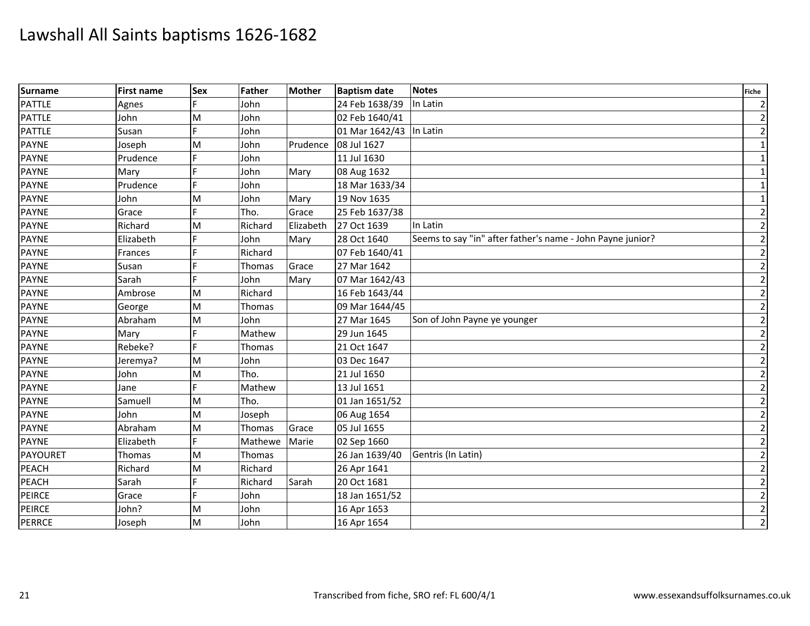| <b>Surname</b> | <b>First name</b> | <b>Sex</b> | Father  | <b>Mother</b> | <b>Baptism date</b>     | <b>Notes</b>                                               | <b>Fiche</b>   |
|----------------|-------------------|------------|---------|---------------|-------------------------|------------------------------------------------------------|----------------|
| <b>PATTLE</b>  | Agnes             |            | John    |               | 24 Feb 1638/39          | In Latin                                                   | $\overline{2}$ |
| <b>PATTLE</b>  | John              | M          | John    |               | 02 Feb 1640/41          |                                                            | $\overline{2}$ |
| <b>PATTLE</b>  | Susan             |            | John    |               | 01 Mar 1642/43 In Latin |                                                            | $\overline{2}$ |
| <b>PAYNE</b>   | Joseph            | M          | John    | Prudence      | 08 Jul 1627             |                                                            | $\mathbf{1}$   |
| <b>PAYNE</b>   | Prudence          | Е          | John    |               | 11 Jul 1630             |                                                            | $\mathbf{1}$   |
| PAYNE          | Mary              |            | John    | Mary          | 08 Aug 1632             |                                                            | $\mathbf{1}$   |
| <b>PAYNE</b>   | Prudence          |            | John    |               | 18 Mar 1633/34          |                                                            | $\mathbf{1}$   |
| <b>PAYNE</b>   | John              | M          | John    | Mary          | 19 Nov 1635             |                                                            | $\mathbf{1}$   |
| <b>PAYNE</b>   | Grace             | F          | Tho.    | Grace         | 25 Feb 1637/38          |                                                            | $\overline{2}$ |
| <b>PAYNE</b>   | Richard           | M          | Richard | Elizabeth     | 27 Oct 1639             | In Latin                                                   | $\overline{2}$ |
| <b>PAYNE</b>   | Elizabeth         |            | John    | Mary          | 28 Oct 1640             | Seems to say "in" after father's name - John Payne junior? | $\overline{2}$ |
| <b>PAYNE</b>   | Frances           |            | Richard |               | 07 Feb 1640/41          |                                                            | $\overline{2}$ |
| <b>PAYNE</b>   | Susan             |            | Thomas  | Grace         | 27 Mar 1642             |                                                            | $\overline{2}$ |
| <b>PAYNE</b>   | Sarah             | E.         | John    | Mary          | 07 Mar 1642/43          |                                                            | $\overline{2}$ |
| <b>PAYNE</b>   | Ambrose           | M          | Richard |               | 16 Feb 1643/44          |                                                            | $\overline{2}$ |
| PAYNE          | George            | M          | Thomas  |               | 09 Mar 1644/45          |                                                            | $\overline{2}$ |
| <b>PAYNE</b>   | Abraham           | M          | John    |               | 27 Mar 1645             | Son of John Payne ye younger                               | $\overline{2}$ |
| PAYNE          | Mary              |            | Mathew  |               | 29 Jun 1645             |                                                            | $\overline{2}$ |
| <b>PAYNE</b>   | Rebeke?           |            | Thomas  |               | 21 Oct 1647             |                                                            | $\overline{2}$ |
| <b>PAYNE</b>   | Jeremya?          | M          | John    |               | 03 Dec 1647             |                                                            | $\overline{2}$ |
| <b>PAYNE</b>   | John              | M          | Tho.    |               | 21 Jul 1650             |                                                            | $\overline{2}$ |
| <b>PAYNE</b>   | Jane              |            | Mathew  |               | 13 Jul 1651             |                                                            | $\overline{2}$ |
| PAYNE          | Samuell           | M          | Tho.    |               | 01 Jan 1651/52          |                                                            | $\overline{2}$ |
| <b>PAYNE</b>   | John              | M          | Joseph  |               | 06 Aug 1654             |                                                            | $\overline{2}$ |
| <b>PAYNE</b>   | Abraham           | M          | Thomas  | Grace         | 05 Jul 1655             |                                                            | $\overline{2}$ |
| <b>PAYNE</b>   | Elizabeth         | F          | Mathewe | Marie         | 02 Sep 1660             |                                                            | $\overline{2}$ |
| PAYOURET       | Thomas            | M          | Thomas  |               | 26 Jan 1639/40          | Gentris (In Latin)                                         | $\overline{2}$ |
| <b>PEACH</b>   | Richard           | M          | Richard |               | 26 Apr 1641             |                                                            | $\overline{2}$ |
| PEACH          | Sarah             |            | Richard | Sarah         | 20 Oct 1681             |                                                            | $\overline{2}$ |
| <b>PEIRCE</b>  | Grace             | F          | John    |               | 18 Jan 1651/52          |                                                            | $\mathbf 2$    |
| <b>PEIRCE</b>  | John?             | M          | John    |               | 16 Apr 1653             |                                                            | $\overline{2}$ |
| <b>PERRCE</b>  | Joseph            | M          | John    |               | 16 Apr 1654             |                                                            | $\overline{2}$ |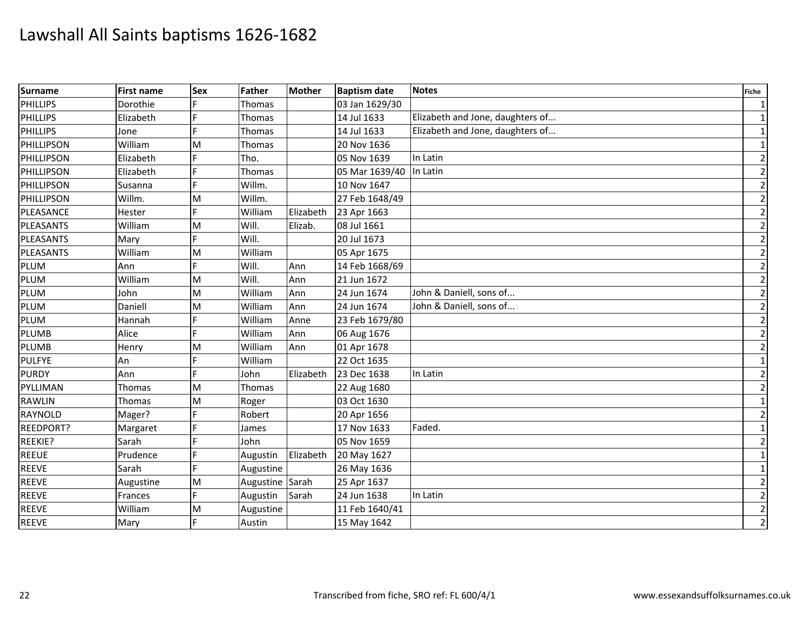| Surname          | <b>First name</b> | <b>Sex</b> | <b>Father</b> | <b>Mother</b> | <b>Baptism date</b>     | <b>Notes</b>                     | <b>Fiche</b>   |
|------------------|-------------------|------------|---------------|---------------|-------------------------|----------------------------------|----------------|
| PHILLIPS         | Dorothie          |            | Thomas        |               | 03 Jan 1629/30          |                                  | $\vert$ 1      |
| PHILLIPS         | Elizabeth         |            | Thomas        |               | 14 Jul 1633             | Elizabeth and Jone, daughters of | $1\vert$       |
| <b>PHILLIPS</b>  | Jone              |            | Thomas        |               | 14 Jul 1633             | Elizabeth and Jone, daughters of | 1              |
| PHILLIPSON       | William           | M          | Thomas        |               | 20 Nov 1636             |                                  | $1\vert$       |
| PHILLIPSON       | Elizabeth         |            | Tho.          |               | 05 Nov 1639             | In Latin                         | $\overline{2}$ |
| PHILLIPSON       | Elizabeth         |            | Thomas        |               | 05 Mar 1639/40 In Latin |                                  | $\overline{2}$ |
| PHILLIPSON       | Susanna           |            | Willm.        |               | 10 Nov 1647             |                                  | $\overline{2}$ |
| PHILLIPSON       | Willm.            | M          | Willm.        |               | 27 Feb 1648/49          |                                  | $\overline{2}$ |
| PLEASANCE        | Hester            |            | William       | Elizabeth     | 23 Apr 1663             |                                  | $\overline{2}$ |
| PLEASANTS        | William           | M          | Will.         | Elizab.       | 08 Jul 1661             |                                  | $\overline{2}$ |
| PLEASANTS        | Mary              |            | Will.         |               | 20 Jul 1673             |                                  | $\overline{2}$ |
| <b>PLEASANTS</b> | William           | M          | William       |               | 05 Apr 1675             |                                  | $\overline{2}$ |
| PLUM             | Ann               | E.         | Will.         | Ann           | 14 Feb 1668/69          |                                  | $\overline{2}$ |
| <b>PLUM</b>      | William           | M          | Will.         | Ann           | 21 Jun 1672             |                                  | $\overline{2}$ |
| PLUM             | John              | M          | William       | Ann           | 24 Jun 1674             | John & Daniell, sons of          | $\overline{2}$ |
| PLUM             | Daniell           | M          | William       | Ann           | 24 Jun 1674             | John & Daniell, sons of          | $\overline{2}$ |
| <b>PLUM</b>      | Hannah            |            | William       | Anne          | 23 Feb 1679/80          |                                  | $\overline{2}$ |
| PLUMB            | Alice             |            | William       | Ann           | 06 Aug 1676             |                                  | $\overline{2}$ |
| <b>PLUMB</b>     | Henry             | M          | William       | Ann           | 01 Apr 1678             |                                  | $\overline{2}$ |
| <b>PULFYE</b>    | An                | E          | William       |               | 22 Oct 1635             |                                  | $\mathbf{1}$   |
| <b>PURDY</b>     | Ann               |            | John          | Elizabeth     | 23 Dec 1638             | In Latin                         | $\overline{2}$ |
| PYLLIMAN         | Thomas            | M          | Thomas        |               | 22 Aug 1680             |                                  | $\overline{2}$ |
| <b>RAWLIN</b>    | <b>Thomas</b>     | M          | Roger         |               | 03 Oct 1630             |                                  | $\vert$ 1      |
| <b>RAYNOLD</b>   | Mager?            |            | Robert        |               | 20 Apr 1656             |                                  | $\mathbf{2}$   |
| <b>REEDPORT?</b> | Margaret          |            | James         |               | 17 Nov 1633             | Faded.                           | $1\vert$       |
| REEKIE?          | Sarah             |            | John          |               | 05 Nov 1659             |                                  | $\overline{2}$ |
| <b>REEUE</b>     | Prudence          |            | Augustin      | Elizabeth     | 20 May 1627             |                                  | $\vert$ 1      |
| <b>REEVE</b>     | Sarah             |            | Augustine     |               | 26 May 1636             |                                  | $\mathbf{1}$   |
| <b>REEVE</b>     | Augustine         | M          | Augustine     | Sarah         | 25 Apr 1637             |                                  | $\overline{2}$ |
| <b>REEVE</b>     | Frances           |            | Augustin      | Sarah         | 24 Jun 1638             | In Latin                         | $\overline{2}$ |
| <b>REEVE</b>     | William           | M          | Augustine     |               | 11 Feb 1640/41          |                                  | $\overline{2}$ |
| <b>REEVE</b>     | Mary              | F          | Austin        |               | 15 May 1642             |                                  | $\overline{2}$ |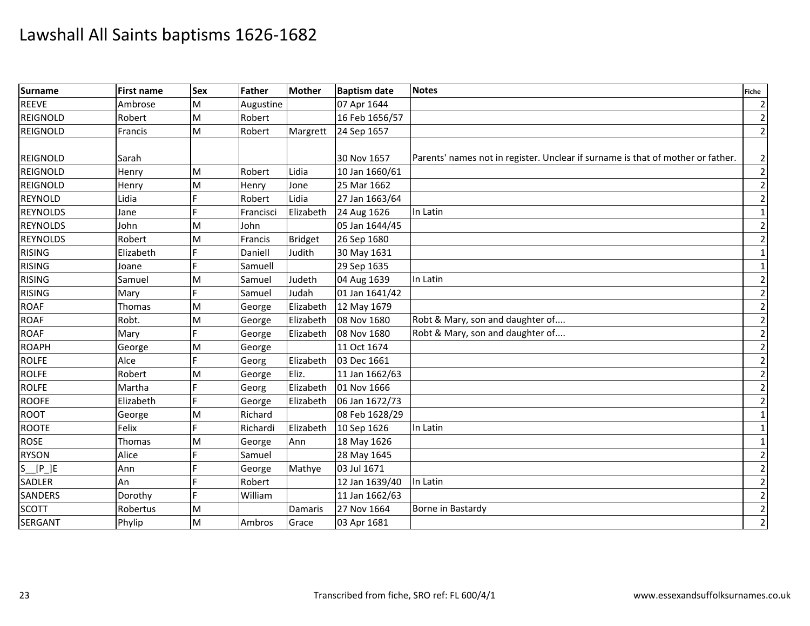| Surname            | <b>First name</b> | <b>Sex</b> | Father    | Mother         | <b>Baptism date</b> | <b>Notes</b>                                                                    | <b>Fiche</b>   |
|--------------------|-------------------|------------|-----------|----------------|---------------------|---------------------------------------------------------------------------------|----------------|
| REEVE              | Ambrose           | M          | Augustine |                | 07 Apr 1644         |                                                                                 | $\overline{2}$ |
| REIGNOLD           | Robert            | M          | Robert    |                | 16 Feb 1656/57      |                                                                                 | $\overline{2}$ |
| <b>REIGNOLD</b>    | Francis           | M          | Robert    | Margrett       | 24 Sep 1657         |                                                                                 | $\overline{2}$ |
|                    |                   |            |           |                |                     |                                                                                 |                |
| <b>REIGNOLD</b>    | Sarah             |            |           |                | 30 Nov 1657         | Parents' names not in register. Unclear if surname is that of mother or father. | $\overline{2}$ |
| <b>REIGNOLD</b>    | Henry             | M          | Robert    | Lidia          | 10 Jan 1660/61      |                                                                                 | $\overline{2}$ |
| <b>REIGNOLD</b>    | Henry             | M          | Henry     | Jone           | 25 Mar 1662         |                                                                                 | $\overline{2}$ |
| <b>REYNOLD</b>     | Lidia             |            | Robert    | Lidia          | 27 Jan 1663/64      |                                                                                 | $\overline{2}$ |
| <b>REYNOLDS</b>    | Jane              |            | Francisci | Elizabeth      | 24 Aug 1626         | In Latin                                                                        | 1              |
| <b>REYNOLDS</b>    | John              | M          | John      |                | 05 Jan 1644/45      |                                                                                 | $\overline{2}$ |
| <b>REYNOLDS</b>    | Robert            | M          | Francis   | <b>Bridget</b> | 26 Sep 1680         |                                                                                 | $\overline{2}$ |
| <b>RISING</b>      | Elizabeth         |            | Daniell   | Judith         | 30 May 1631         |                                                                                 | $\mathbf{1}$   |
| <b>RISING</b>      | Joane             |            | Samuell   |                | 29 Sep 1635         |                                                                                 | $\mathbf{1}$   |
| <b>RISING</b>      | Samuel            | M          | Samuel    | Judeth         | 04 Aug 1639         | In Latin                                                                        | $\overline{2}$ |
| <b>RISING</b>      | Mary              | F          | Samuel    | Judah          | 01 Jan 1641/42      |                                                                                 | $\overline{2}$ |
| <b>ROAF</b>        | Thomas            | M          | George    | Elizabeth      | 12 May 1679         |                                                                                 | $\overline{2}$ |
| <b>ROAF</b>        | Robt.             | M          | George    | Elizabeth      | 08 Nov 1680         | Robt & Mary, son and daughter of                                                | $\overline{2}$ |
| <b>ROAF</b>        | Mary              | E          | George    | Elizabeth      | 08 Nov 1680         | Robt & Mary, son and daughter of                                                | $\overline{2}$ |
| <b>ROAPH</b>       | George            | M          | George    |                | 11 Oct 1674         |                                                                                 | $\overline{2}$ |
| <b>ROLFE</b>       | Alce              |            | Georg     | Elizabeth      | 03 Dec 1661         |                                                                                 | $\overline{2}$ |
| <b>ROLFE</b>       | Robert            | м          | George    | Eliz.          | 11 Jan 1662/63      |                                                                                 | $\overline{2}$ |
| <b>ROLFE</b>       | Martha            |            | Georg     | Elizabeth      | 01 Nov 1666         |                                                                                 | $\overline{2}$ |
| <b>ROOFE</b>       | Elizabeth         | F          | George    | Elizabeth      | 06 Jan 1672/73      |                                                                                 | $\overline{2}$ |
| <b>ROOT</b>        | George            | M          | Richard   |                | 08 Feb 1628/29      |                                                                                 | $\mathbf{1}$   |
| <b>ROOTE</b>       | Felix             |            | Richardi  | Elizabeth      | 10 Sep 1626         | In Latin                                                                        | $\mathbf{1}$   |
| <b>ROSE</b>        | Thomas            | M          | George    | Ann            | 18 May 1626         |                                                                                 | $\mathbf{1}$   |
| <b>RYSON</b>       | Alice             | Е          | Samuel    |                | 28 May 1645         |                                                                                 | $\overline{2}$ |
| $S_{-}$<br>$[P_]E$ | Ann               |            | George    | Mathye         | 03 Jul 1671         |                                                                                 | $\overline{2}$ |
| <b>SADLER</b>      | An                |            | Robert    |                | 12 Jan 1639/40      | In Latin                                                                        | $\overline{2}$ |
| <b>SANDERS</b>     | Dorothy           | E          | William   |                | 11 Jan 1662/63      |                                                                                 | $\overline{2}$ |
| <b>SCOTT</b>       | Robertus          | M          |           | Damaris        | 27 Nov 1664         | Borne in Bastardy                                                               | $\overline{2}$ |
| <b>SERGANT</b>     | Phylip            | M          | Ambros    | Grace          | 03 Apr 1681         |                                                                                 | $\overline{2}$ |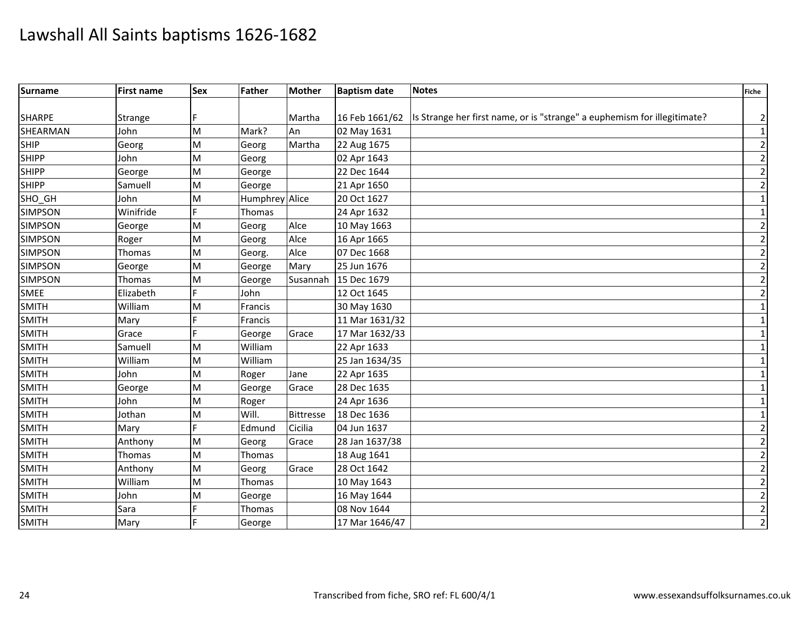| Surname        | <b>First name</b> | Sex | Father         | <b>Mother</b>    | <b>Baptism date</b> | <b>Notes</b>                                                                              | <b>Fiche</b>    |
|----------------|-------------------|-----|----------------|------------------|---------------------|-------------------------------------------------------------------------------------------|-----------------|
|                |                   |     |                |                  |                     |                                                                                           |                 |
| <b>SHARPE</b>  | <b>Strange</b>    |     |                | Martha           |                     | 16 Feb 1661/62   Is Strange her first name, or is "strange" a euphemism for illegitimate? | $\overline{2}$  |
| SHEARMAN       | John              | M   | Mark?          | An               | 02 May 1631         |                                                                                           | $1\overline{)}$ |
| <b>SHIP</b>    | Georg             | M   | Georg          | Martha           | 22 Aug 1675         |                                                                                           | $\mathbf 2$     |
| <b>SHIPP</b>   | John              | M   | Georg          |                  | 02 Apr 1643         |                                                                                           | $\overline{2}$  |
| <b>SHIPP</b>   | George            | M   | George         |                  | 22 Dec 1644         |                                                                                           | $\overline{2}$  |
| <b>SHIPP</b>   | Samuell           | M   | George         |                  | 21 Apr 1650         |                                                                                           | $\overline{2}$  |
| SHO GH         | John              | M   | Humphrey Alice |                  | 20 Oct 1627         |                                                                                           | $\mathbf 1$     |
| <b>SIMPSON</b> | Winifride         | E   | Thomas         |                  | 24 Apr 1632         |                                                                                           | $\mathbf{1}$    |
| <b>SIMPSON</b> | George            | M   | Georg          | Alce             | 10 May 1663         |                                                                                           | $\overline{2}$  |
| <b>SIMPSON</b> | Roger             | M   | Georg          | Alce             | 16 Apr 1665         |                                                                                           | $\overline{2}$  |
| <b>SIMPSON</b> | Thomas            | M   | Georg.         | Alce             | 07 Dec 1668         |                                                                                           | $\overline{2}$  |
| <b>SIMPSON</b> | George            | M   | George         | Mary             | 25 Jun 1676         |                                                                                           | $\overline{2}$  |
| <b>SIMPSON</b> | Thomas            | M   | George         | Susannah         | 15 Dec 1679         |                                                                                           | $\overline{2}$  |
| <b>SMEE</b>    | Elizabeth         |     | John           |                  | 12 Oct 1645         |                                                                                           | $\overline{2}$  |
| <b>SMITH</b>   | William           | M   | Francis        |                  | 30 May 1630         |                                                                                           | 1               |
| <b>SMITH</b>   | Mary              | E   | Francis        |                  | $11$ Mar 1631/32    |                                                                                           | 1               |
| <b>SMITH</b>   | Grace             | F   | George         | Grace            | 17 Mar 1632/33      |                                                                                           | $\mathbf{1}$    |
| <b>SMITH</b>   | Samuell           | M   | William        |                  | 22 Apr 1633         |                                                                                           | $\mathbf{1}$    |
| <b>SMITH</b>   | William           | M   | William        |                  | 25 Jan 1634/35      |                                                                                           | $\mathbf{1}$    |
| <b>SMITH</b>   | John              | M   | Roger          | Jane             | 22 Apr 1635         |                                                                                           | $\mathbf{1}$    |
| <b>SMITH</b>   | George            | M   | George         | Grace            | 28 Dec 1635         |                                                                                           | $\mathbf{1}$    |
| <b>SMITH</b>   | John              | M   | Roger          |                  | 24 Apr 1636         |                                                                                           | $\mathbf{1}$    |
| <b>SMITH</b>   | Jothan            | M   | Will.          | <b>Bittresse</b> | 18 Dec 1636         |                                                                                           | 1               |
| <b>SMITH</b>   | Mary              | F   | Edmund         | Cicilia          | 04 Jun 1637         |                                                                                           | $\overline{2}$  |
| <b>SMITH</b>   | Anthony           | M   | Georg          | Grace            | 28 Jan 1637/38      |                                                                                           | $\overline{2}$  |
| <b>SMITH</b>   | Thomas            | M   | Thomas         |                  | 18 Aug 1641         |                                                                                           | $\overline{2}$  |
| <b>SMITH</b>   | Anthony           | M   | Georg          | Grace            | 28 Oct 1642         |                                                                                           | $\overline{2}$  |
| <b>SMITH</b>   | William           | M   | Thomas         |                  | 10 May 1643         |                                                                                           | $\overline{2}$  |
| <b>SMITH</b>   | John              | M   | George         |                  | 16 May 1644         |                                                                                           | $\overline{2}$  |
| <b>SMITH</b>   | Sara              |     | Thomas         |                  | 08 Nov 1644         |                                                                                           | $\overline{2}$  |
| <b>SMITH</b>   | Mary              | F   | George         |                  | 17 Mar 1646/47      |                                                                                           | $\overline{2}$  |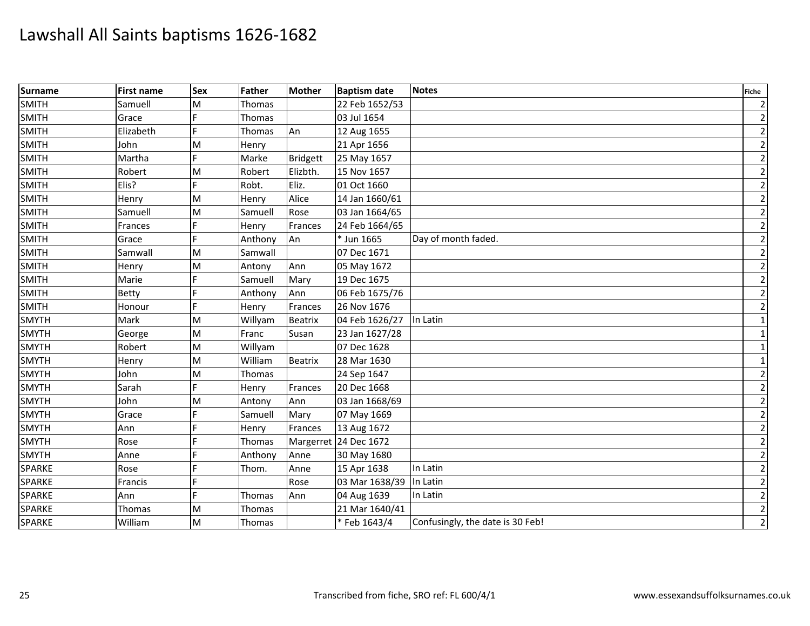| Surname       | <b>First name</b> | <b>Sex</b> | Father        | <b>Mother</b>   | <b>Baptism date</b>   | <b>Notes</b>                     | <b>Fiche</b>   |
|---------------|-------------------|------------|---------------|-----------------|-----------------------|----------------------------------|----------------|
| <b>SMITH</b>  | Samuell           | M          | Thomas        |                 | 22 Feb 1652/53        |                                  | $\overline{2}$ |
| <b>SMITH</b>  | Grace             |            | Thomas        |                 | 03 Jul 1654           |                                  | $\overline{2}$ |
| <b>SMITH</b>  | Elizabeth         |            | <b>Thomas</b> | An              | 12 Aug 1655           |                                  | $\overline{2}$ |
| <b>SMITH</b>  | John              | M          | Henry         |                 | 21 Apr 1656           |                                  | $\overline{2}$ |
| <b>SMITH</b>  | Martha            | E          | Marke         | <b>Bridgett</b> | 25 May 1657           |                                  | $\overline{2}$ |
| <b>SMITH</b>  | Robert            | M          | Robert        | Elizbth.        | 15 Nov 1657           |                                  | $\overline{2}$ |
| <b>SMITH</b>  | Elis?             |            | Robt.         | Eliz.           | 01 Oct 1660           |                                  | $\overline{2}$ |
| <b>SMITH</b>  | Henry             | M          | Henry         | Alice           | 14 Jan 1660/61        |                                  | $\overline{2}$ |
| <b>SMITH</b>  | Samuell           | M          | Samuell       | Rose            | 03 Jan 1664/65        |                                  | $\overline{2}$ |
| SMITH         | Frances           |            | Henry         | Frances         | 24 Feb 1664/65        |                                  | $\overline{2}$ |
| <b>SMITH</b>  | Grace             | F          | Anthony       | An              | * Jun 1665            | Day of month faded.              | $\overline{2}$ |
| <b>SMITH</b>  | Samwall           | M          | Samwall       |                 | 07 Dec 1671           |                                  | $\overline{2}$ |
| <b>SMITH</b>  | Henry             | M          | Antony        | Ann             | 05 May 1672           |                                  | $\overline{2}$ |
| <b>SMITH</b>  | Marie             | E          | Samuell       | Mary            | 19 Dec 1675           |                                  | $\overline{2}$ |
| <b>SMITH</b>  | <b>Betty</b>      | F          | Anthony       | Ann             | 06 Feb 1675/76        |                                  | $\overline{2}$ |
| <b>SMITH</b>  | Honour            |            | Henry         | Frances         | 26 Nov 1676           |                                  | $\overline{2}$ |
| <b>SMYTH</b>  | Mark              | M          | Willyam       | <b>Beatrix</b>  | 04 Feb 1626/27        | In Latin                         | $\mathbf{1}$   |
| <b>SMYTH</b>  | George            | M          | Franc         | Susan           | 23 Jan 1627/28        |                                  | $\mathbf{1}$   |
| <b>SMYTH</b>  | Robert            | M          | Willyam       |                 | 07 Dec 1628           |                                  | 1              |
| <b>SMYTH</b>  | Henry             | M          | William       | Beatrix         | 28 Mar 1630           |                                  | $\mathbf{1}$   |
| <b>SMYTH</b>  | John              | M          | Thomas        |                 | 24 Sep 1647           |                                  | $\overline{2}$ |
| <b>SMYTH</b>  | Sarah             | Ė          | Henry         | Frances         | 20 Dec 1668           |                                  | $\overline{2}$ |
| <b>SMYTH</b>  | John              | M          | Antony        | Ann             | 03 Jan 1668/69        |                                  | $\overline{2}$ |
| <b>SMYTH</b>  | Grace             |            | Samuell       | Mary            | 07 May 1669           |                                  | $\overline{2}$ |
| <b>SMYTH</b>  | Ann               |            | Henry         | Frances         | 13 Aug 1672           |                                  | $\overline{2}$ |
| <b>SMYTH</b>  | Rose              | F          | Thomas        |                 | Margerret 24 Dec 1672 |                                  | $\overline{2}$ |
| <b>SMYTH</b>  | Anne              |            | Anthony       | Anne            | 30 May 1680           |                                  | $\overline{2}$ |
| <b>SPARKE</b> | Rose              | F          | Thom.         | Anne            | 15 Apr 1638           | In Latin                         | $\overline{2}$ |
| <b>SPARKE</b> | Francis           |            |               | Rose            | 03 Mar 1638/39        | In Latin                         | $\overline{2}$ |
| SPARKE        | Ann               | F          | Thomas        | Ann             | 04 Aug 1639           | In Latin                         | $\overline{2}$ |
| SPARKE        | Thomas            | M          | Thomas        |                 | 21 Mar 1640/41        |                                  | $\overline{2}$ |
| SPARKE        | William           | M          | Thomas        |                 | *Feb 1643/4           | Confusingly, the date is 30 Feb! | $\overline{2}$ |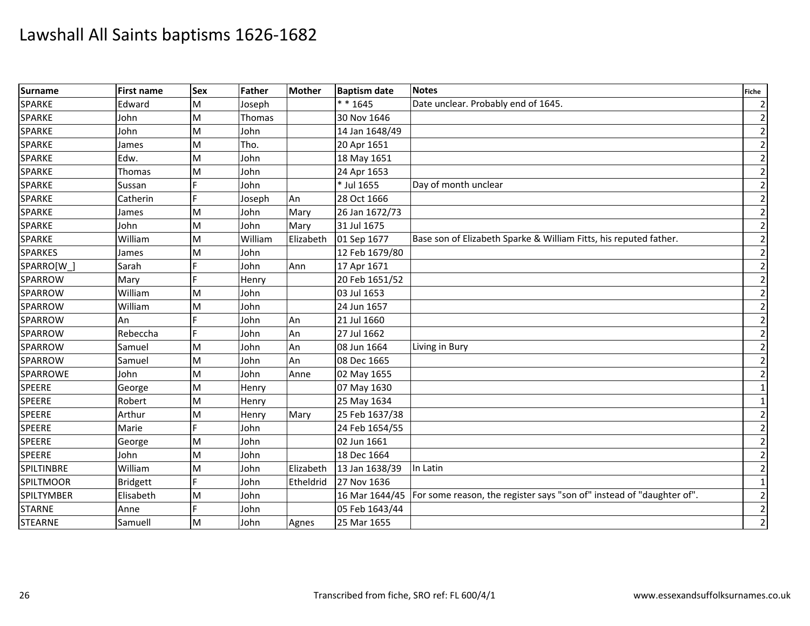| <b>Surname</b>    | <b>First name</b> | <b>Sex</b> | Father  | <b>Mother</b> | <b>Baptism date</b> | <b>Notes</b>                                                                           | <b>Fiche</b>   |
|-------------------|-------------------|------------|---------|---------------|---------------------|----------------------------------------------------------------------------------------|----------------|
| <b>SPARKE</b>     | Edward            | M          | Joseph  |               | $* * 1645$          | Date unclear. Probably end of 1645.                                                    | $\overline{2}$ |
| <b>SPARKE</b>     | John              | M          | Thomas  |               | 30 Nov 1646         |                                                                                        | $\overline{2}$ |
| <b>SPARKE</b>     | John              | M          | John    |               | 14 Jan 1648/49      |                                                                                        | $\overline{2}$ |
| <b>SPARKE</b>     | James             | M          | Tho.    |               | 20 Apr 1651         |                                                                                        | $\overline{2}$ |
| <b>SPARKE</b>     | Edw.              | M          | John    |               | 18 May 1651         |                                                                                        | $\overline{2}$ |
| <b>SPARKE</b>     | Thomas            | M          | John    |               | 24 Apr 1653         |                                                                                        | $\overline{2}$ |
| <b>SPARKE</b>     | Sussan            |            | John    |               | * Jul 1655          | Day of month unclear                                                                   | $\overline{2}$ |
| <b>SPARKE</b>     | Catherin          |            | Joseph  | An            | 28 Oct 1666         |                                                                                        | $\overline{2}$ |
| <b>SPARKE</b>     | James             | M          | John    | Mary          | 26 Jan 1672/73      |                                                                                        | $\overline{2}$ |
| <b>SPARKE</b>     | John              | M          | John    | Mary          | 31 Jul 1675         |                                                                                        | $\overline{2}$ |
| <b>SPARKE</b>     | William           | M          | William | Elizabeth     | 01 Sep 1677         | Base son of Elizabeth Sparke & William Fitts, his reputed father.                      | $\overline{2}$ |
| <b>SPARKES</b>    | James             | M          | John    |               | 12 Feb 1679/80      |                                                                                        | $\overline{2}$ |
| SPARRO[W          | Sarah             |            | John    | Ann           | 17 Apr 1671         |                                                                                        | $\overline{2}$ |
| SPARROW           | Mary              | E.         | Henry   |               | 20 Feb 1651/52      |                                                                                        | $\overline{2}$ |
| SPARROW           | William           | M          | John    |               | 03 Jul 1653         |                                                                                        | $\overline{2}$ |
| <b>SPARROW</b>    | William           | M          | John    |               | 24 Jun 1657         |                                                                                        | $\overline{2}$ |
| SPARROW           | An                |            | John    | An            | 21 Jul 1660         |                                                                                        | $\overline{2}$ |
| SPARROW           | Rebeccha          |            | John    | An            | 27 Jul 1662         |                                                                                        | $\overline{2}$ |
| SPARROW           | Samuel            | M          | John    | An            | 08 Jun 1664         | Living in Bury                                                                         | $\overline{2}$ |
| <b>SPARROW</b>    | Samuel            | M          | John    | An            | 08 Dec 1665         |                                                                                        | $\overline{2}$ |
| SPARROWE          | John              | M          | John    | Anne          | 02 May 1655         |                                                                                        | $\overline{2}$ |
| <b>SPEERE</b>     | George            | M          | Henry   |               | 07 May 1630         |                                                                                        | $\mathbf 1$    |
| <b>SPEERE</b>     | Robert            | M          | Henry   |               | 25 May 1634         |                                                                                        | $\mathbf{1}$   |
| <b>SPEERE</b>     | Arthur            | M          | Henry   | Mary          | 25 Feb 1637/38      |                                                                                        | $\overline{2}$ |
| <b>SPEERE</b>     | Marie             |            | John    |               | 24 Feb 1654/55      |                                                                                        | $\overline{2}$ |
| <b>SPEERE</b>     | George            | M          | John    |               | 02 Jun 1661         |                                                                                        | $\overline{2}$ |
| <b>SPEERE</b>     | John              | M          | John    |               | 18 Dec 1664         |                                                                                        | $\overline{2}$ |
| SPILTINBRE        | William           | M          | John    | Elizabeth     | 13 Jan 1638/39      | In Latin                                                                               | $\overline{2}$ |
| <b>SPILTMOOR</b>  | <b>Bridgett</b>   |            | John    | Etheldrid     | 27 Nov 1636         |                                                                                        | $\mathbf{1}$   |
| <b>SPILTYMBER</b> | Elisabeth         | M          | John    |               |                     | 16 Mar 1644/45   For some reason, the register says "son of" instead of "daughter of". | $\mathbf 2$    |
| <b>STARNE</b>     | Anne              |            | John    |               | 05 Feb 1643/44      |                                                                                        | $\overline{2}$ |
| <b>STEARNE</b>    | Samuell           | M          | John    | Agnes         | 25 Mar 1655         |                                                                                        | $\overline{2}$ |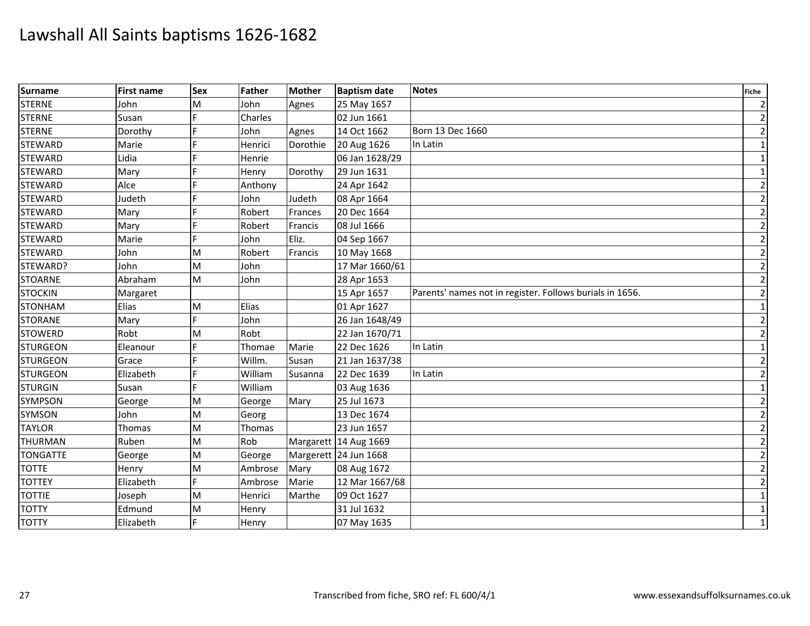| Surname         | <b>First name</b> | <b>Sex</b> | Father  | <b>Mother</b> | <b>Baptism date</b>   | <b>Notes</b>                                             | Fiche          |
|-----------------|-------------------|------------|---------|---------------|-----------------------|----------------------------------------------------------|----------------|
| <b>STERNE</b>   | John              | M          | John    | Agnes         | 25 May 1657           |                                                          | $\overline{2}$ |
| <b>STERNE</b>   | Susan             |            | Charles |               | 02 Jun 1661           |                                                          | $\overline{2}$ |
| <b>STERNE</b>   | Dorothy           |            | John    | Agnes         | 14 Oct 1662           | Born 13 Dec 1660                                         | $\overline{2}$ |
| <b>STEWARD</b>  | Marie             |            | Henrici | Dorothie      | 20 Aug 1626           | In Latin                                                 | $\mathbf 1$    |
| <b>STEWARD</b>  | Lidia             |            | Henrie  |               | 06 Jan 1628/29        |                                                          | $\mathbf{1}$   |
| <b>STEWARD</b>  | Mary              |            | Henry   | Dorothy       | 29 Jun 1631           |                                                          | $\mathbf{1}$   |
| <b>STEWARD</b>  | Alce              |            | Anthony |               | 24 Apr 1642           |                                                          | $\overline{2}$ |
| <b>STEWARD</b>  | Judeth            |            | John    | Judeth        | 08 Apr 1664           |                                                          | $\overline{2}$ |
| <b>STEWARD</b>  | Mary              |            | Robert  | Frances       | 20 Dec 1664           |                                                          | $\overline{2}$ |
| <b>STEWARD</b>  | Mary              |            | Robert  | Francis       | 08 Jul 1666           |                                                          | $\overline{2}$ |
| <b>STEWARD</b>  | Marie             |            | John    | Eliz.         | 04 Sep 1667           |                                                          | $\overline{2}$ |
| <b>STEWARD</b>  | John              | M          | Robert  | Francis       | 10 May 1668           |                                                          | $\overline{2}$ |
| STEWARD?        | John              | M          | John    |               | 17 Mar 1660/61        |                                                          | $\overline{2}$ |
| <b>STOARNE</b>  | Abraham           | M          | John    |               | 28 Apr 1653           |                                                          | $\overline{2}$ |
| <b>STOCKIN</b>  | Margaret          |            |         |               | 15 Apr 1657           | Parents' names not in register. Follows burials in 1656. | $\overline{2}$ |
| <b>STONHAM</b>  | <b>Elias</b>      | M          | Elias   |               | 01 Apr 1627           |                                                          | $\mathbf{1}$   |
| <b>STORANE</b>  | Mary              | È.         | John    |               | 26 Jan 1648/49        |                                                          | $\overline{2}$ |
| <b>STOWERD</b>  | Robt              | M          | Robt    |               | 22 Jan 1670/71        |                                                          | $\overline{2}$ |
| <b>STURGEON</b> | Eleanour          |            | Thomae  | Marie         | 22 Dec 1626           | In Latin                                                 | $\mathbf{1}$   |
| <b>STURGEON</b> | Grace             |            | Willm.  | Susan         | 21 Jan 1637/38        |                                                          | $\overline{2}$ |
| <b>STURGEON</b> | Elizabeth         |            | William | Susanna       | 22 Dec 1639           | In Latin                                                 | $\overline{2}$ |
| <b>STURGIN</b>  | Susan             |            | William |               | 03 Aug 1636           |                                                          | $\mathbf{1}$   |
| <b>SYMPSON</b>  | George            | M          | George  | Mary          | 25 Jul 1673           |                                                          | $\overline{2}$ |
| <b>SYMSON</b>   | John              | M          | Georg   |               | 13 Dec 1674           |                                                          | $\overline{2}$ |
| <b>TAYLOR</b>   | Thomas            | M          | Thomas  |               | 23 Jun 1657           |                                                          | $\overline{2}$ |
| <b>THURMAN</b>  | Ruben             | M          | Rob     |               | Margarett 14 Aug 1669 |                                                          | $\overline{2}$ |
| <b>TONGATTE</b> | George            | M          | George  |               | Margerett 24 Jun 1668 |                                                          | $\overline{2}$ |
| <b>TOTTE</b>    | Henry             | M          | Ambrose | Mary          | 08 Aug 1672           |                                                          | $\overline{2}$ |
| <b>TOTTEY</b>   | Elizabeth         | E          | Ambrose | Marie         | 12 Mar 1667/68        |                                                          | $\overline{2}$ |
| <b>TOTTIE</b>   | Joseph            | M          | Henrici | Marthe        | 09 Oct 1627           |                                                          | $\mathbf{1}$   |
| <b>TOTTY</b>    | Edmund            | M          | Henry   |               | 31 Jul 1632           |                                                          | $\mathbf{1}$   |
| <b>TOTTY</b>    | Elizabeth         | F          | Henry   |               | 07 May 1635           |                                                          | $\mathbf 1$    |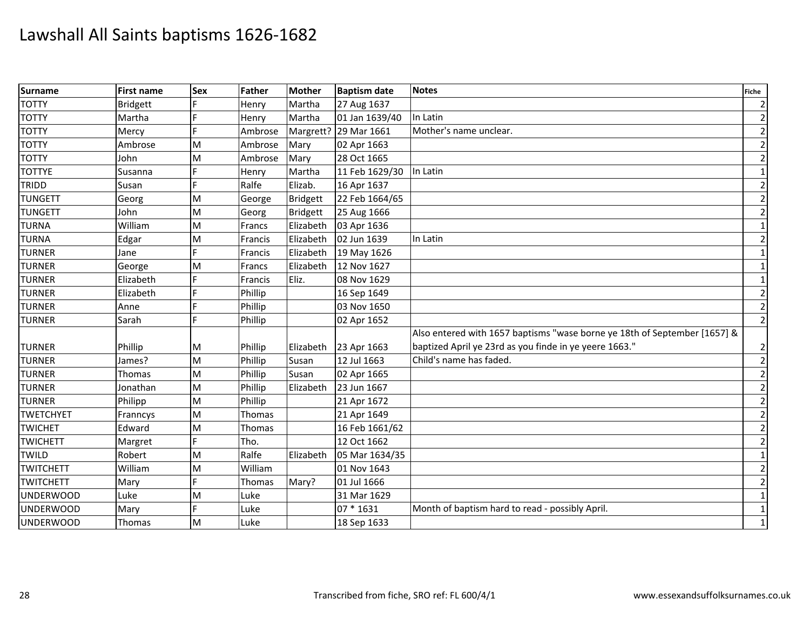| Surname          | <b>First name</b> | <b>Sex</b> | Father         | <b>Mother</b>   | <b>Baptism date</b>   | <b>Notes</b><br><b>Fiche</b>                                              |                |
|------------------|-------------------|------------|----------------|-----------------|-----------------------|---------------------------------------------------------------------------|----------------|
| <b>TOTTY</b>     | <b>Bridgett</b>   |            | Henry          | Martha          | 27 Aug 1637           |                                                                           | $\overline{2}$ |
| <b>TOTTY</b>     | Martha            |            | Henry          | Martha          | 01 Jan 1639/40        | In Latin                                                                  | $\overline{2}$ |
| <b>TOTTY</b>     | Mercy             |            | Ambrose        |                 | Margrett? 29 Mar 1661 | Mother's name unclear.                                                    | $\overline{2}$ |
| <b>TOTTY</b>     | Ambrose           | M          | Ambrose        | Mary            | 02 Apr 1663           |                                                                           | $\overline{2}$ |
| <b>TOTTY</b>     | John              | M          | Ambrose        | Mary            | 28 Oct 1665           |                                                                           | $\overline{2}$ |
| <b>TOTTYE</b>    | Susanna           |            | Henry          | Martha          | 11 Feb 1629/30        | In Latin                                                                  | $\mathbf{1}$   |
| TRIDD            | Susan             |            | Ralfe          | Elizab.         | 16 Apr 1637           |                                                                           | $\overline{2}$ |
| <b>TUNGETT</b>   | Georg             | M          | George         | <b>Bridgett</b> | 22 Feb 1664/65        |                                                                           | $\overline{2}$ |
| <b>TUNGETT</b>   | John              | M          | Georg          | <b>Bridgett</b> | 25 Aug 1666           |                                                                           | $\overline{2}$ |
| <b>TURNA</b>     | William           | M          | Francs         | Elizabeth       | 03 Apr 1636           |                                                                           | $\mathbf{1}$   |
| <b>TURNA</b>     | Edgar             | M          | <b>Francis</b> | Elizabeth       | 02 Jun 1639           | In Latin                                                                  | $\overline{2}$ |
| <b>TURNER</b>    | Jane              | E          | Francis        | Elizabeth       | 19 May 1626           |                                                                           | $\mathbf{1}$   |
| <b>TURNER</b>    | George            | M          | <b>Francs</b>  | Elizabeth       | 12 Nov 1627           |                                                                           | $\mathbf{1}$   |
| <b>TURNER</b>    | Elizabeth         | <b>C</b>   | Francis        | Eliz.           | 08 Nov 1629           |                                                                           | $\mathbf{1}$   |
| <b>TURNER</b>    | Elizabeth         |            | Phillip        |                 | 16 Sep 1649           |                                                                           |                |
| <b>TURNER</b>    | Anne              |            | Phillip        |                 | 03 Nov 1650           |                                                                           |                |
| <b>TURNER</b>    | Sarah             | F          | Phillip        |                 | 02 Apr 1652           |                                                                           | $\overline{2}$ |
|                  |                   |            |                |                 |                       | Also entered with 1657 baptisms "wase borne ye 18th of September [1657] & |                |
| <b>TURNER</b>    | Phillip           | M          | Phillip        | Elizabeth       | 23 Apr 1663           | baptized April ye 23rd as you finde in ye yeere 1663."                    | $\overline{2}$ |
| <b>TURNER</b>    | James?            | M          | Phillip        | Susan           | 12 Jul 1663           | Child's name has faded.                                                   | $\overline{2}$ |
| <b>TURNER</b>    | Thomas            | M          | Phillip        | Susan           | 02 Apr 1665           |                                                                           | $\overline{2}$ |
| <b>TURNER</b>    | Jonathan          | M          | Phillip        | Elizabeth       | 23 Jun 1667           |                                                                           | $\overline{2}$ |
| <b>TURNER</b>    | Philipp           | M          | Phillip        |                 | 21 Apr 1672           |                                                                           | $\overline{2}$ |
| <b>TWETCHYET</b> | Franncys          | M          | <b>Thomas</b>  |                 | 21 Apr 1649           |                                                                           | $\overline{2}$ |
| <b>TWICHET</b>   | Edward            | M          | Thomas         |                 | 16 Feb 1661/62        |                                                                           | $\overline{2}$ |
| <b>TWICHETT</b>  | Margret           | E          | Tho.           |                 | 12 Oct 1662           |                                                                           |                |
| <b>TWILD</b>     | Robert            | M          | Ralfe          | Elizabeth       | 05 Mar 1634/35        |                                                                           |                |
| <b>TWITCHETT</b> | William           | M          | William        |                 | 01 Nov 1643           |                                                                           |                |
| <b>TWITCHETT</b> | Mary              |            | Thomas         | Mary?           | 01 Jul 1666           |                                                                           | $\overline{2}$ |
| <b>UNDERWOOD</b> | Luke              | M          | Luke           |                 | 31 Mar 1629           |                                                                           | $1\,$          |
| <b>UNDERWOOD</b> | Mary              | E          | Luke           |                 | 07 * 1631             | Month of baptism hard to read - possibly April.                           | $\mathbf{1}$   |
| <b>UNDERWOOD</b> | Thomas            | M          | Luke           |                 | 18 Sep 1633           |                                                                           | $\mathbf{1}$   |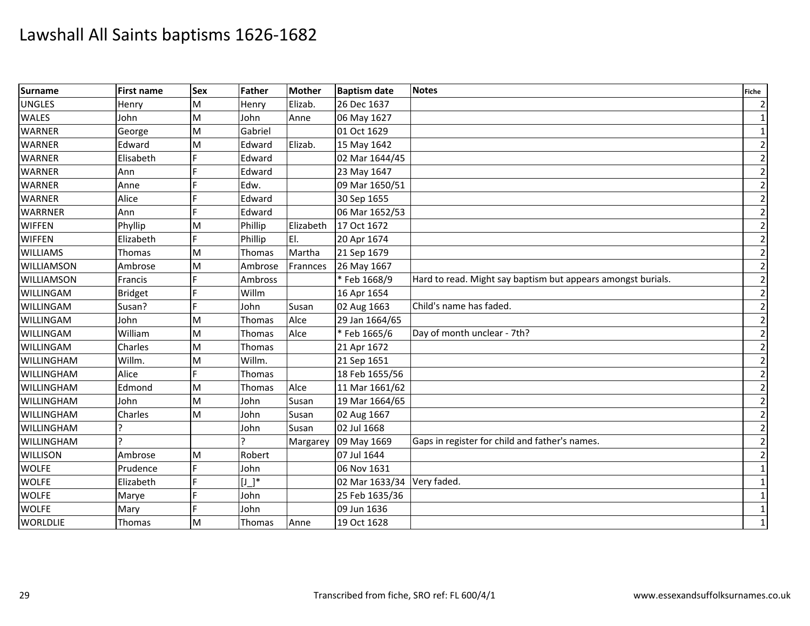| <b>Surname</b>    | <b>First name</b> | <b>Sex</b> | Father         | <b>Mother</b> | <b>Baptism date</b>        | <b>Notes</b>                                                 | <b>Fiche</b>   |
|-------------------|-------------------|------------|----------------|---------------|----------------------------|--------------------------------------------------------------|----------------|
| <b>UNGLES</b>     | Henry             | M          | Henry          | Elizab.       | 26 Dec 1637                |                                                              | $\overline{2}$ |
| <b>WALES</b>      | John              | M          | John           | Anne          | 06 May 1627                |                                                              | $1\vert$       |
| <b>WARNER</b>     | George            | M          | Gabriel        |               | 01 Oct 1629                |                                                              | $\mathbf{1}$   |
| <b>WARNER</b>     | Edward            | M          | Edward         | Elizab.       | 15 May 1642                |                                                              | $\mathbf{2}$   |
| <b>WARNER</b>     | Elisabeth         |            | Edward         |               | 02 Mar 1644/45             |                                                              | $\overline{2}$ |
| <b>WARNER</b>     | Ann               |            | Edward         |               | 23 May 1647                |                                                              | $\mathbf{2}$   |
| <b>WARNER</b>     | Anne              |            | Edw.           |               | 09 Mar 1650/51             |                                                              | $\overline{2}$ |
| <b>WARNER</b>     | Alice             |            | Edward         |               | 30 Sep 1655                |                                                              | $\overline{2}$ |
| <b>WARRNER</b>    | Ann               | F          | Edward         |               | 06 Mar 1652/53             |                                                              | $\overline{2}$ |
| <b>WIFFEN</b>     | Phyllip           | M          | Phillip        | Elizabeth     | 17 Oct 1672                |                                                              | $\overline{2}$ |
| <b>WIFFEN</b>     | Elizabeth         | F          | Phillip        | EI.           | 20 Apr 1674                |                                                              | $\overline{2}$ |
| <b>WILLIAMS</b>   | Thomas            | M          | <b>Thomas</b>  | Martha        | 21 Sep 1679                |                                                              | $\overline{2}$ |
| <b>WILLIAMSON</b> | Ambrose           | M          | Ambrose        | Frannces      | 26 May 1667                |                                                              | $\overline{2}$ |
| <b>WILLIAMSON</b> | Francis           |            | Ambross        |               | * Feb 1668/9               | Hard to read. Might say baptism but appears amongst burials. | $\overline{2}$ |
| <b>WILLINGAM</b>  | <b>Bridget</b>    |            | Willm          |               | 16 Apr 1654                |                                                              | $\overline{2}$ |
| WILLINGAM         | Susan?            |            | John           | Susan         | 02 Aug 1663                | Child's name has faded.                                      | $\overline{2}$ |
| <b>WILLINGAM</b>  | John              | M          | Thomas         | Alce          | 29 Jan 1664/65             |                                                              | $\mathbf{2}$   |
| <b>WILLINGAM</b>  | William           | M          | Thomas         | Alce          | *Feb 1665/6                | Day of month unclear - 7th?                                  | $\overline{2}$ |
| <b>WILLINGAM</b>  | Charles           | M          | Thomas         |               | 21 Apr 1672                |                                                              | $\overline{2}$ |
| WILLINGHAM        | Willm.            | M          | Willm.         |               | 21 Sep 1651                |                                                              | $\overline{2}$ |
| <b>WILLINGHAM</b> | Alice             |            | Thomas         |               | 18 Feb 1655/56             |                                                              | $\overline{2}$ |
| <b>WILLINGHAM</b> | Edmond            | M          | Thomas         | Alce          | 11 Mar 1661/62             |                                                              | $\overline{2}$ |
| <b>WILLINGHAM</b> | John              | M          | John           | Susan         | 19 Mar 1664/65             |                                                              | $\overline{2}$ |
| WILLINGHAM        | Charles           | M          | John           | Susan         | 02 Aug 1667                |                                                              | $\overline{2}$ |
| <b>WILLINGHAM</b> |                   |            | John           | Susan         | 02 Jul 1668                |                                                              | $\overline{2}$ |
| <b>WILLINGHAM</b> |                   |            | $\overline{ }$ | Margarey      | 09 May 1669                | Gaps in register for child and father's names.               | $\overline{2}$ |
| <b>WILLISON</b>   | Ambrose           | M          | Robert         |               | 07 Jul 1644                |                                                              | $\overline{2}$ |
| <b>WOLFE</b>      | Prudence          | E          | John           |               | 06 Nov 1631                |                                                              | $1\vert$       |
| <b>WOLFE</b>      | Elizabeth         |            | $[J_+]^*$      |               | 02 Mar 1633/34 Very faded. |                                                              | $\mathbf{1}$   |
| <b>WOLFE</b>      | Marye             | F          | John           |               | 25 Feb 1635/36             |                                                              | $\mathbf{1}$   |
| <b>WOLFE</b>      | Mary              |            | John           |               | 09 Jun 1636                |                                                              | $1\vert$       |
| <b>WORLDLIE</b>   | Thomas            | M          | Thomas         | Anne          | 19 Oct 1628                |                                                              | $1\vert$       |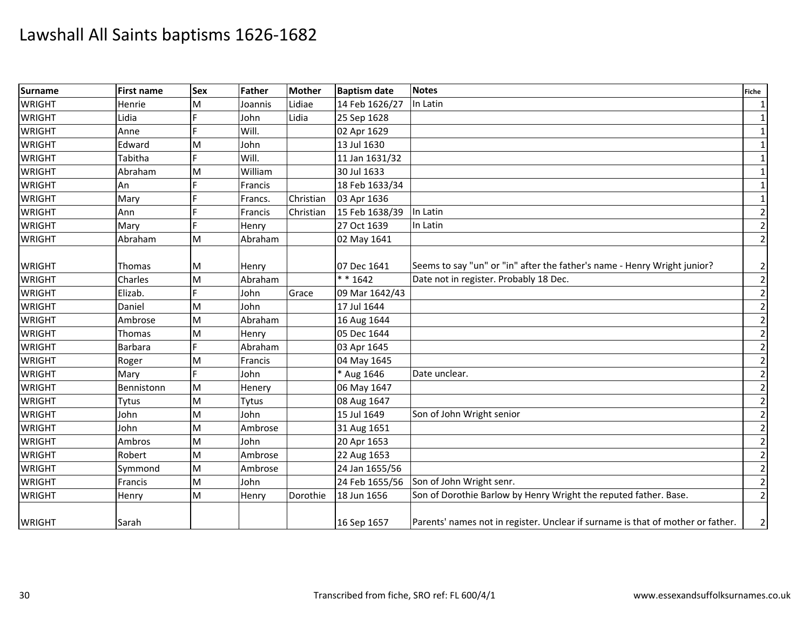| <b>Surname</b> | <b>First name</b> | <b>Sex</b> | Father  | <b>Mother</b> | <b>Baptism date</b> | <b>Notes</b><br><b>Fiche</b>                                                    |                |
|----------------|-------------------|------------|---------|---------------|---------------------|---------------------------------------------------------------------------------|----------------|
| <b>WRIGHT</b>  | Henrie            | M          | Joannis | Lidiae        | 14 Feb 1626/27      | In Latin                                                                        |                |
| <b>WRIGHT</b>  | Lidia             |            | John    | Lidia         | 25 Sep 1628         |                                                                                 |                |
| <b>WRIGHT</b>  | Anne              |            | Will.   |               | 02 Apr 1629         |                                                                                 |                |
| <b>WRIGHT</b>  | Edward            | M          | John    |               | 13 Jul 1630         |                                                                                 | $\mathbf 1$    |
| <b>WRIGHT</b>  | Tabitha           |            | Will.   |               | 11 Jan 1631/32      |                                                                                 | $\mathbf{1}$   |
| <b>WRIGHT</b>  | Abraham           | M          | William |               | 30 Jul 1633         |                                                                                 | $\mathbf{1}$   |
| <b>WRIGHT</b>  | An                |            | Francis |               | 18 Feb 1633/34      |                                                                                 | 1              |
| <b>WRIGHT</b>  | Mary              |            | Francs. | Christian     | 03 Apr 1636         |                                                                                 | $\mathbf{1}$   |
| <b>WRIGHT</b>  | Ann               |            | Francis | Christian     | 15 Feb 1638/39      | In Latin                                                                        | $\overline{2}$ |
| <b>WRIGHT</b>  | Mary              |            | Henry   |               | 27 Oct 1639         | In Latin                                                                        | $\overline{2}$ |
| <b>WRIGHT</b>  | Abraham           | M          | Abraham |               | 02 May 1641         |                                                                                 | $\overline{2}$ |
| <b>WRIGHT</b>  | Thomas            | M          | Henry   |               | 07 Dec 1641         | Seems to say "un" or "in" after the father's name - Henry Wright junior?        |                |
| <b>WRIGHT</b>  | Charles           | M          | Abraham |               | $* * 1642$          | Date not in register. Probably 18 Dec.                                          |                |
| <b>WRIGHT</b>  | Elizab.           |            | John    | Grace         | 09 Mar 1642/43      |                                                                                 |                |
| <b>WRIGHT</b>  | Daniel            | M          | John    |               | 17 Jul 1644         |                                                                                 |                |
| <b>WRIGHT</b>  | Ambrose           | M          | Abraham |               | 16 Aug 1644         |                                                                                 | $\overline{2}$ |
| <b>WRIGHT</b>  | Thomas            | M          | Henry   |               | 05 Dec 1644         |                                                                                 | $\overline{2}$ |
| <b>WRIGHT</b>  | Barbara           |            | Abraham |               | 03 Apr 1645         |                                                                                 | $\overline{2}$ |
| <b>WRIGHT</b>  | Roger             | M          | Francis |               | 04 May 1645         |                                                                                 | $\overline{2}$ |
| <b>WRIGHT</b>  | Mary              |            | John    |               | * Aug 1646          | Date unclear.                                                                   | $\overline{2}$ |
| <b>WRIGHT</b>  | Bennistonn        | M          | Henery  |               | 06 May 1647         |                                                                                 | $\mathbf 2$    |
| <b>WRIGHT</b>  | Tytus             | M          | Tytus   |               | 08 Aug 1647         |                                                                                 | $\overline{2}$ |
| <b>WRIGHT</b>  | John              | M          | John    |               | 15 Jul 1649         | Son of John Wright senior                                                       | $\mathbf 2$    |
| <b>WRIGHT</b>  | John              | M          | Ambrose |               | 31 Aug 1651         |                                                                                 | $\overline{2}$ |
| <b>WRIGHT</b>  | Ambros            | M          | John    |               | 20 Apr 1653         |                                                                                 |                |
| <b>WRIGHT</b>  | Robert            | M          | Ambrose |               | 22 Aug 1653         |                                                                                 |                |
| <b>WRIGHT</b>  | Symmond           | M          | Ambrose |               | 24 Jan 1655/56      |                                                                                 |                |
| <b>WRIGHT</b>  | Francis           | M          | John    |               | 24 Feb 1655/56      | Son of John Wright senr.                                                        |                |
| <b>WRIGHT</b>  | Henry             | M          | Henry   | Dorothie      | 18 Jun 1656         | Son of Dorothie Barlow by Henry Wright the reputed father. Base.                | $\overline{2}$ |
| <b>WRIGHT</b>  | Sarah             |            |         |               | 16 Sep 1657         | Parents' names not in register. Unclear if surname is that of mother or father. |                |